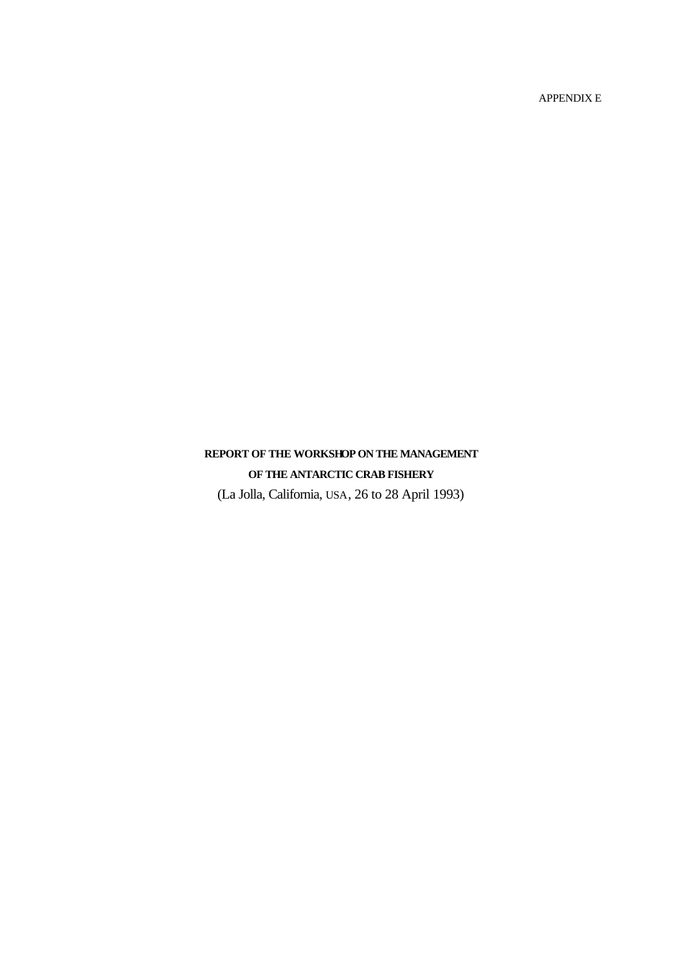APPENDIX E

# **REPORT OF THE WORKSHOP ON THE MANAGEMENT OF THE ANTARCTIC CRAB FISHERY**

(La Jolla, California, USA, 26 to 28 April 1993)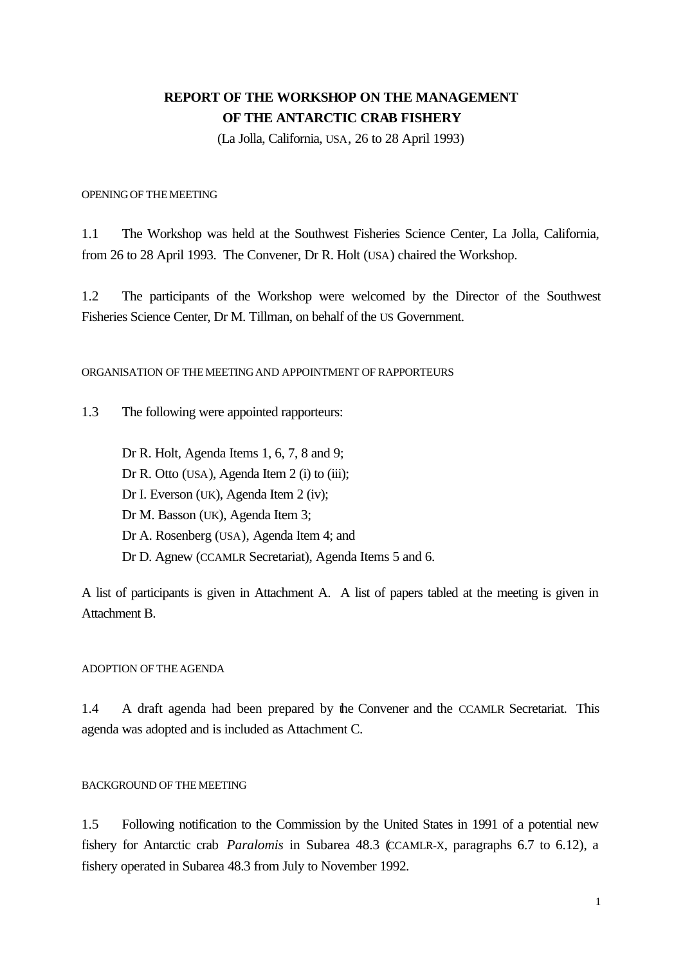# **REPORT OF THE WORKSHOP ON THE MANAGEMENT OF THE ANTARCTIC CRAB FISHERY**

(La Jolla, California, USA, 26 to 28 April 1993)

OPENINGOF THEMEETING

1.1 The Workshop was held at the Southwest Fisheries Science Center, La Jolla, California, from 26 to 28 April 1993. The Convener, Dr R. Holt (USA) chaired the Workshop.

1.2 The participants of the Workshop were welcomed by the Director of the Southwest Fisheries Science Center, Dr M. Tillman, on behalf of the US Government.

ORGANISATION OF THEMEETINGAND APPOINTMENT OF RAPPORTEURS

1.3 The following were appointed rapporteurs:

Dr R. Holt, Agenda Items 1, 6, 7, 8 and 9; Dr R. Otto (USA), Agenda Item 2 (i) to (iii); Dr I. Everson (UK), Agenda Item 2 (iv); Dr M. Basson (UK), Agenda Item 3; Dr A. Rosenberg (USA), Agenda Item 4; and Dr D. Agnew (CCAMLR Secretariat), Agenda Items 5 and 6.

A list of participants is given in Attachment A. A list of papers tabled at the meeting is given in Attachment B.

#### ADOPTION OF THE AGENDA

1.4 A draft agenda had been prepared by the Convener and the CCAMLR Secretariat. This agenda was adopted and is included as Attachment C.

#### BACKGROUND OF THEMEETING

1.5 Following notification to the Commission by the United States in 1991 of a potential new fishery for Antarctic crab *Paralomis* in Subarea 48.3 (CCAMLR-X, paragraphs 6.7 to 6.12), a fishery operated in Subarea 48.3 from July to November 1992.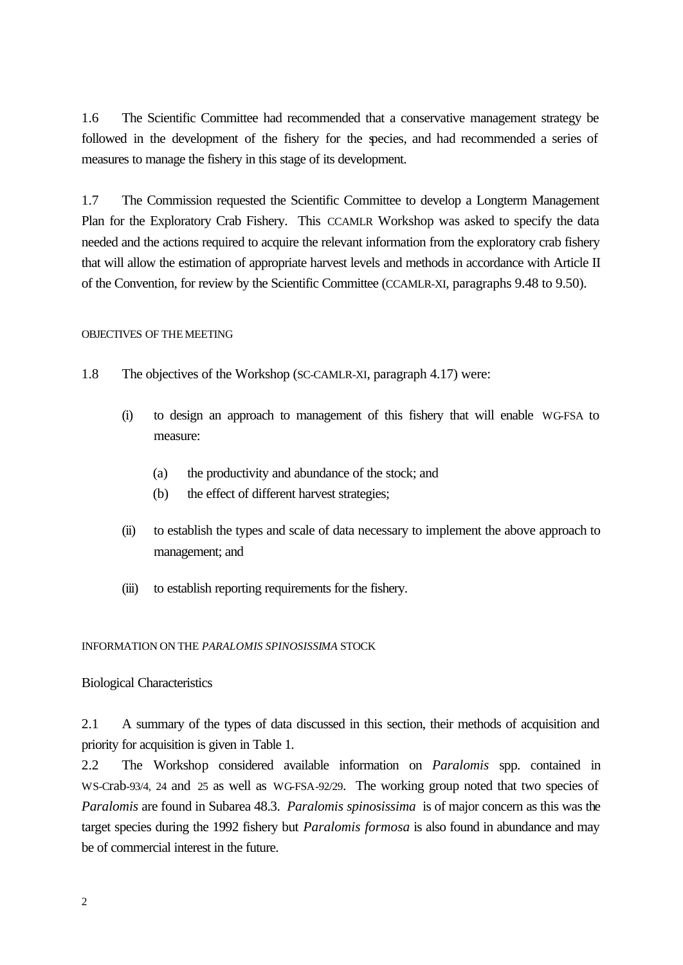1.6 The Scientific Committee had recommended that a conservative management strategy be followed in the development of the fishery for the species, and had recommended a series of measures to manage the fishery in this stage of its development.

1.7 The Commission requested the Scientific Committee to develop a Longterm Management Plan for the Exploratory Crab Fishery. This CCAMLR Workshop was asked to specify the data needed and the actions required to acquire the relevant information from the exploratory crab fishery that will allow the estimation of appropriate harvest levels and methods in accordance with Article II of the Convention, for review by the Scientific Committee (CCAMLR-XI, paragraphs 9.48 to 9.50).

#### OBJECTIVES OF THEMEETING

- 1.8 The objectives of the Workshop (SC-CAMLR-XI, paragraph 4.17) were:
	- (i) to design an approach to management of this fishery that will enable WG-FSA to measure:
		- (a) the productivity and abundance of the stock; and
		- (b) the effect of different harvest strategies;
	- (ii) to establish the types and scale of data necessary to implement the above approach to management; and
	- (iii) to establish reporting requirements for the fishery.

INFORMATION ON THE *PARALOMIS SPINOSISSIMA* STOCK

#### Biological Characteristics

2.1 A summary of the types of data discussed in this section, their methods of acquisition and priority for acquisition is given in Table 1.

2.2 The Workshop considered available information on *Paralomis* spp. contained in WS-Crab-93/4, 24 and 25 as well as WG-FSA-92/29. The working group noted that two species of *Paralomis* are found in Subarea 48.3. *Paralomis spinosissima* is of major concern as this was the target species during the 1992 fishery but *Paralomis formosa* is also found in abundance and may be of commercial interest in the future.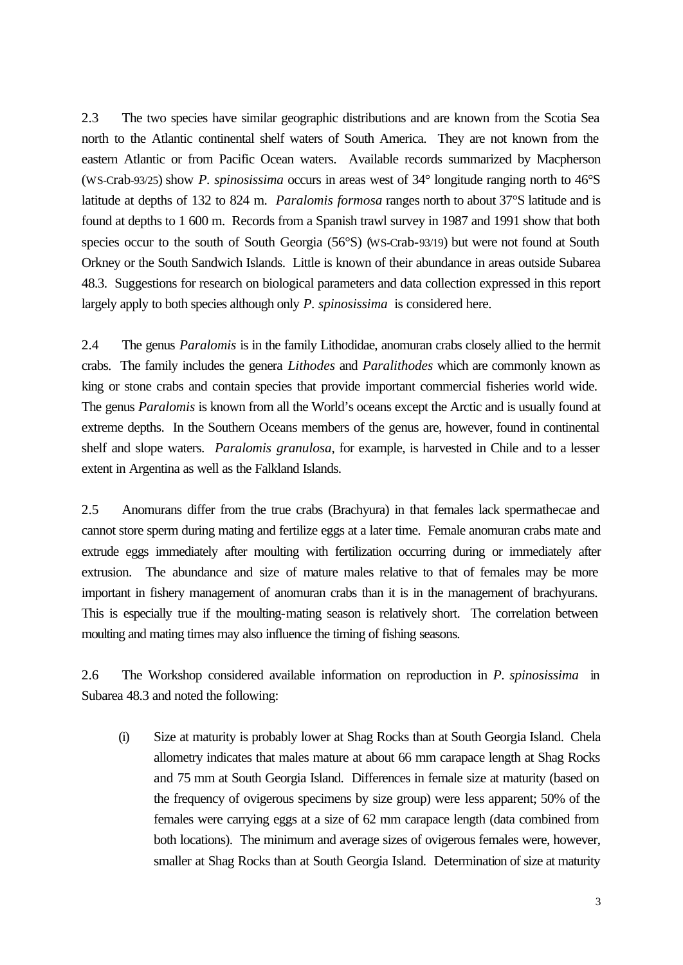2.3 The two species have similar geographic distributions and are known from the Scotia Sea north to the Atlantic continental shelf waters of South America. They are not known from the eastern Atlantic or from Pacific Ocean waters. Available records summarized by Macpherson (WS-Crab-93/25) show *P. spinosissima* occurs in areas west of 34° longitude ranging north to 46°S latitude at depths of 132 to 824 m. *Paralomis formosa* ranges north to about 37°S latitude and is found at depths to 1 600 m. Records from a Spanish trawl survey in 1987 and 1991 show that both species occur to the south of South Georgia (56°S) (WS-Crab-93/19) but were not found at South Orkney or the South Sandwich Islands. Little is known of their abundance in areas outside Subarea 48.3. Suggestions for research on biological parameters and data collection expressed in this report largely apply to both species although only *P. spinosissima* is considered here.

2.4 The genus *Paralomis* is in the family Lithodidae, anomuran crabs closely allied to the hermit crabs. The family includes the genera *Lithodes* and *Paralithodes* which are commonly known as king or stone crabs and contain species that provide important commercial fisheries world wide. The genus *Paralomis* is known from all the World's oceans except the Arctic and is usually found at extreme depths. In the Southern Oceans members of the genus are, however, found in continental shelf and slope waters. *Paralomis granulosa*, for example, is harvested in Chile and to a lesser extent in Argentina as well as the Falkland Islands.

2.5 Anomurans differ from the true crabs (Brachyura) in that females lack spermathecae and cannot store sperm during mating and fertilize eggs at a later time. Female anomuran crabs mate and extrude eggs immediately after moulting with fertilization occurring during or immediately after extrusion. The abundance and size of mature males relative to that of females may be more important in fishery management of anomuran crabs than it is in the management of brachyurans. This is especially true if the moulting-mating season is relatively short. The correlation between moulting and mating times may also influence the timing of fishing seasons.

2.6 The Workshop considered available information on reproduction in *P. spinosissima* in Subarea 48.3 and noted the following:

(i) Size at maturity is probably lower at Shag Rocks than at South Georgia Island. Chela allometry indicates that males mature at about 66 mm carapace length at Shag Rocks and 75 mm at South Georgia Island. Differences in female size at maturity (based on the frequency of ovigerous specimens by size group) were less apparent; 50% of the females were carrying eggs at a size of 62 mm carapace length (data combined from both locations). The minimum and average sizes of ovigerous females were, however, smaller at Shag Rocks than at South Georgia Island. Determination of size at maturity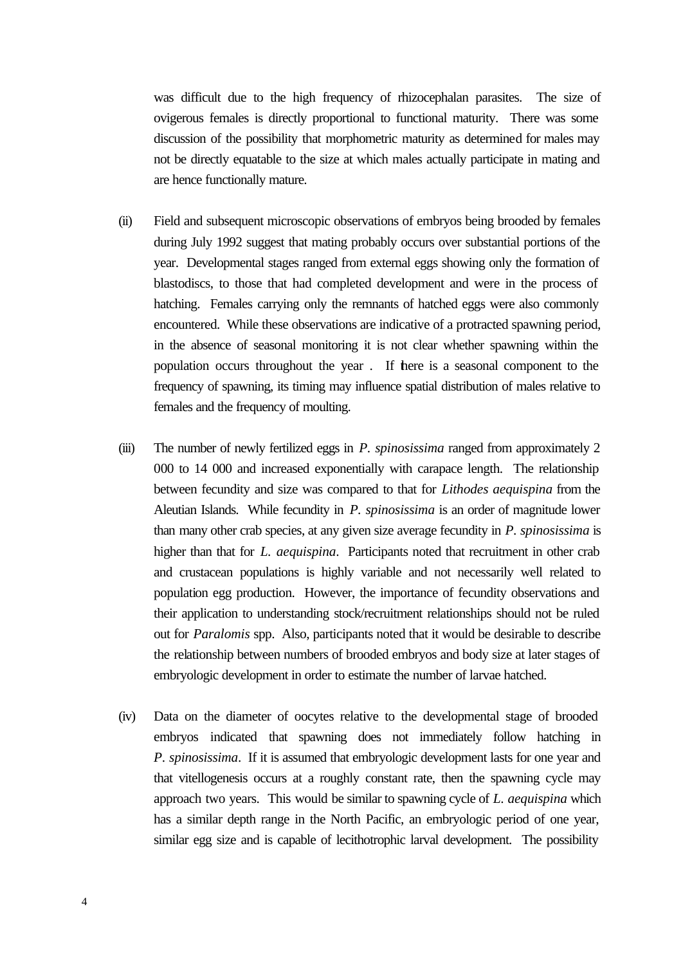was difficult due to the high frequency of rhizocephalan parasites. The size of ovigerous females is directly proportional to functional maturity. There was some discussion of the possibility that morphometric maturity as determined for males may not be directly equatable to the size at which males actually participate in mating and are hence functionally mature.

- (ii) Field and subsequent microscopic observations of embryos being brooded by females during July 1992 suggest that mating probably occurs over substantial portions of the year. Developmental stages ranged from external eggs showing only the formation of blastodiscs, to those that had completed development and were in the process of hatching. Females carrying only the remnants of hatched eggs were also commonly encountered. While these observations are indicative of a protracted spawning period, in the absence of seasonal monitoring it is not clear whether spawning within the population occurs throughout the year . If there is a seasonal component to the frequency of spawning, its timing may influence spatial distribution of males relative to females and the frequency of moulting.
- (iii) The number of newly fertilized eggs in *P. spinosissima* ranged from approximately 2 000 to 14 000 and increased exponentially with carapace length. The relationship between fecundity and size was compared to that for *Lithodes aequispina* from the Aleutian Islands. While fecundity in *P. spinosissima* is an order of magnitude lower than many other crab species, at any given size average fecundity in *P. spinosissima* is higher than that for *L. aequispina*. Participants noted that recruitment in other crab and crustacean populations is highly variable and not necessarily well related to population egg production. However, the importance of fecundity observations and their application to understanding stock/recruitment relationships should not be ruled out for *Paralomis* spp. Also, participants noted that it would be desirable to describe the relationship between numbers of brooded embryos and body size at later stages of embryologic development in order to estimate the number of larvae hatched.
- (iv) Data on the diameter of oocytes relative to the developmental stage of brooded embryos indicated that spawning does not immediately follow hatching in *P. spinosissima*. If it is assumed that embryologic development lasts for one year and that vitellogenesis occurs at a roughly constant rate, then the spawning cycle may approach two years. This would be similar to spawning cycle of *L. aequispina* which has a similar depth range in the North Pacific, an embryologic period of one year, similar egg size and is capable of lecithotrophic larval development. The possibility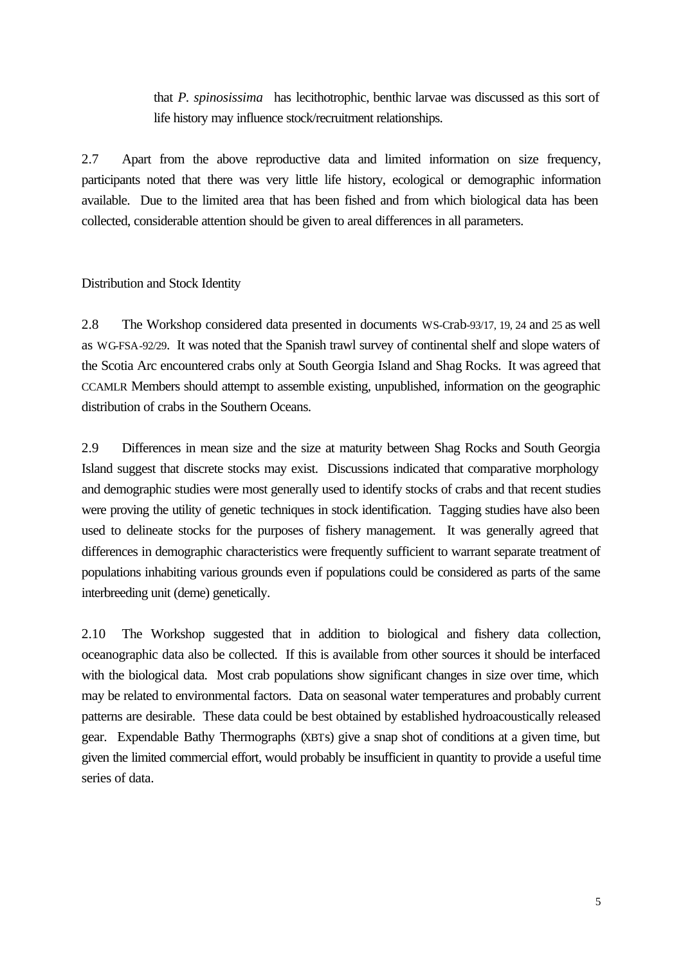that *P. spinosissima* has lecithotrophic, benthic larvae was discussed as this sort of life history may influence stock/recruitment relationships.

2.7 Apart from the above reproductive data and limited information on size frequency, participants noted that there was very little life history, ecological or demographic information available. Due to the limited area that has been fished and from which biological data has been collected, considerable attention should be given to areal differences in all parameters.

#### Distribution and Stock Identity

2.8 The Workshop considered data presented in documents WS-Crab-93/17, 19, 24 and 25 as well as WG-FSA-92/29. It was noted that the Spanish trawl survey of continental shelf and slope waters of the Scotia Arc encountered crabs only at South Georgia Island and Shag Rocks. It was agreed that CCAMLR Members should attempt to assemble existing, unpublished, information on the geographic distribution of crabs in the Southern Oceans.

2.9 Differences in mean size and the size at maturity between Shag Rocks and South Georgia Island suggest that discrete stocks may exist. Discussions indicated that comparative morphology and demographic studies were most generally used to identify stocks of crabs and that recent studies were proving the utility of genetic techniques in stock identification. Tagging studies have also been used to delineate stocks for the purposes of fishery management. It was generally agreed that differences in demographic characteristics were frequently sufficient to warrant separate treatment of populations inhabiting various grounds even if populations could be considered as parts of the same interbreeding unit (deme) genetically.

2.10 The Workshop suggested that in addition to biological and fishery data collection, oceanographic data also be collected. If this is available from other sources it should be interfaced with the biological data. Most crab populations show significant changes in size over time, which may be related to environmental factors. Data on seasonal water temperatures and probably current patterns are desirable. These data could be best obtained by established hydroacoustically released gear. Expendable Bathy Thermographs (XBTs) give a snap shot of conditions at a given time, but given the limited commercial effort, would probably be insufficient in quantity to provide a useful time series of data.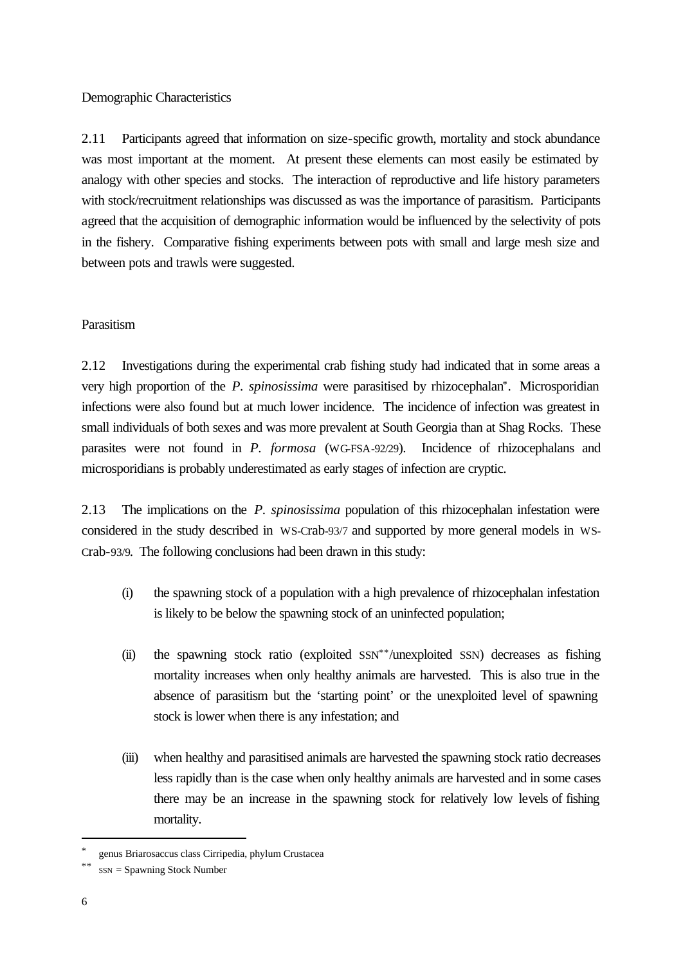Demographic Characteristics

2.11 Participants agreed that information on size-specific growth, mortality and stock abundance was most important at the moment. At present these elements can most easily be estimated by analogy with other species and stocks. The interaction of reproductive and life history parameters with stock/recruitment relationships was discussed as was the importance of parasitism. Participants agreed that the acquisition of demographic information would be influenced by the selectivity of pots in the fishery. Comparative fishing experiments between pots with small and large mesh size and between pots and trawls were suggested.

# **Parasitism**

2.12 Investigations during the experimental crab fishing study had indicated that in some areas a very high proportion of the *P. spinosissima* were parasitised by rhizocephalan\*. Microsporidian infections were also found but at much lower incidence. The incidence of infection was greatest in small individuals of both sexes and was more prevalent at South Georgia than at Shag Rocks. These parasites were not found in *P. formosa* (WG-FSA-92/29). Incidence of rhizocephalans and microsporidians is probably underestimated as early stages of infection are cryptic.

2.13 The implications on the *P. spinosissima* population of this rhizocephalan infestation were considered in the study described in WS-Crab-93/7 and supported by more general models in WS-Crab-93/9. The following conclusions had been drawn in this study:

- (i) the spawning stock of a population with a high prevalence of rhizocephalan infestation is likely to be below the spawning stock of an uninfected population;
- (ii) the spawning stock ratio (exploited SSN\*\*/unexploited SSN) decreases as fishing mortality increases when only healthy animals are harvested. This is also true in the absence of parasitism but the 'starting point' or the unexploited level of spawning stock is lower when there is any infestation; and
- (iii) when healthy and parasitised animals are harvested the spawning stock ratio decreases less rapidly than is the case when only healthy animals are harvested and in some cases there may be an increase in the spawning stock for relatively low levels of fishing mortality.

l

<sup>\*</sup> genus Briarosaccus class Cirripedia, phylum Crustacea

 $SSN =$  Spawning Stock Number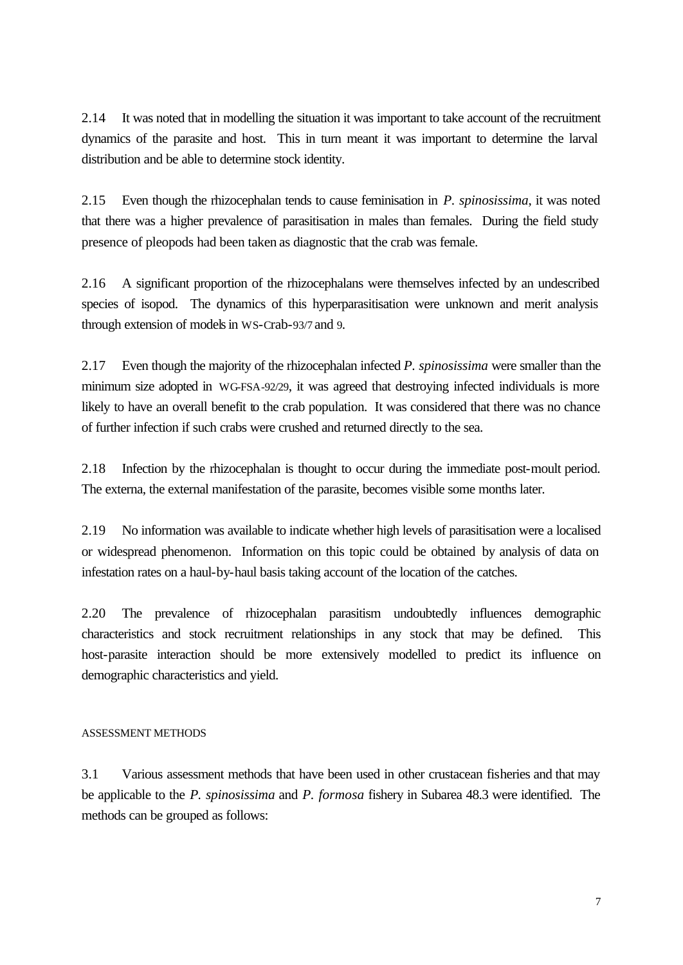2.14 It was noted that in modelling the situation it was important to take account of the recruitment dynamics of the parasite and host. This in turn meant it was important to determine the larval distribution and be able to determine stock identity.

2.15 Even though the rhizocephalan tends to cause feminisation in *P. spinosissima*, it was noted that there was a higher prevalence of parasitisation in males than females. During the field study presence of pleopods had been taken as diagnostic that the crab was female.

2.16 A significant proportion of the rhizocephalans were themselves infected by an undescribed species of isopod. The dynamics of this hyperparasitisation were unknown and merit analysis through extension of models in WS-Crab-93/7 and 9.

2.17 Even though the majority of the rhizocephalan infected *P. spinosissima* were smaller than the minimum size adopted in WG-FSA-92/29, it was agreed that destroying infected individuals is more likely to have an overall benefit to the crab population. It was considered that there was no chance of further infection if such crabs were crushed and returned directly to the sea.

2.18 Infection by the rhizocephalan is thought to occur during the immediate post-moult period. The externa, the external manifestation of the parasite, becomes visible some months later.

2.19 No information was available to indicate whether high levels of parasitisation were a localised or widespread phenomenon. Information on this topic could be obtained by analysis of data on infestation rates on a haul-by-haul basis taking account of the location of the catches.

2.20 The prevalence of rhizocephalan parasitism undoubtedly influences demographic characteristics and stock recruitment relationships in any stock that may be defined. This host-parasite interaction should be more extensively modelled to predict its influence on demographic characteristics and yield.

#### ASSESSMENT METHODS

3.1 Various assessment methods that have been used in other crustacean fisheries and that may be applicable to the *P. spinosissima* and *P. formosa* fishery in Subarea 48.3 were identified. The methods can be grouped as follows: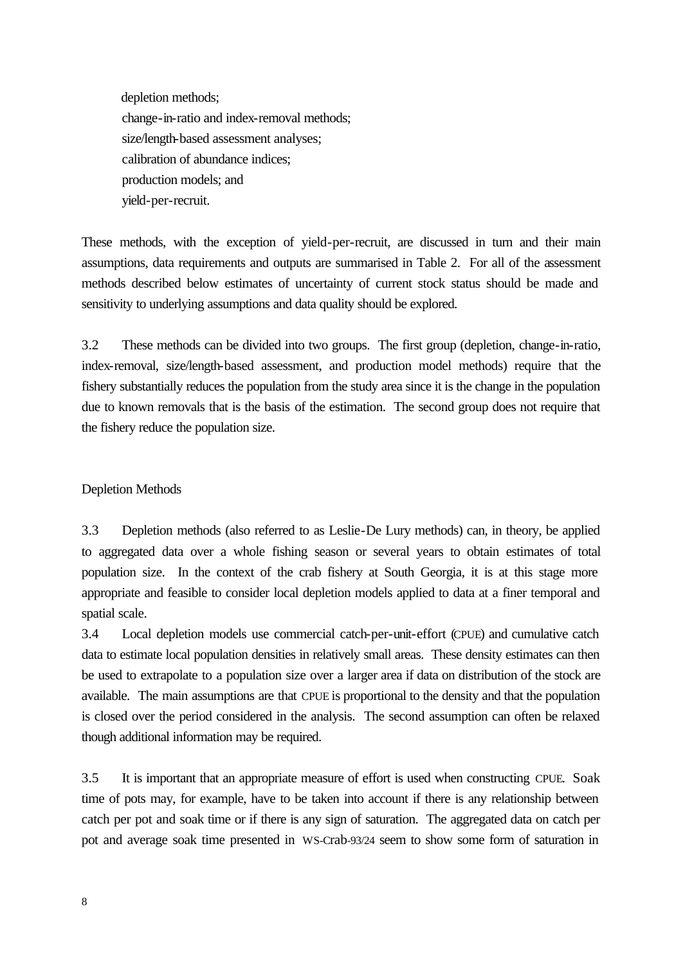depletion methods; change-in-ratio and index-removal methods; size/length-based assessment analyses; calibration of abundance indices; production models; and yield-per-recruit.

These methods, with the exception of yield-per-recruit, are discussed in turn and their main assumptions, data requirements and outputs are summarised in Table 2. For all of the assessment methods described below estimates of uncertainty of current stock status should be made and sensitivity to underlying assumptions and data quality should be explored.

3.2 These methods can be divided into two groups. The first group (depletion, change-in-ratio, index-removal, size/length-based assessment, and production model methods) require that the fishery substantially reduces the population from the study area since it is the change in the population due to known removals that is the basis of the estimation. The second group does not require that the fishery reduce the population size.

# Depletion Methods

3.3 Depletion methods (also referred to as Leslie-De Lury methods) can, in theory, be applied to aggregated data over a whole fishing season or several years to obtain estimates of total population size. In the context of the crab fishery at South Georgia, it is at this stage more appropriate and feasible to consider local depletion models applied to data at a finer temporal and spatial scale.

3.4 Local depletion models use commercial catch-per-unit-effort (CPUE) and cumulative catch data to estimate local population densities in relatively small areas. These density estimates can then be used to extrapolate to a population size over a larger area if data on distribution of the stock are available. The main assumptions are that CPUE is proportional to the density and that the population is closed over the period considered in the analysis. The second assumption can often be relaxed though additional information may be required.

3.5 It is important that an appropriate measure of effort is used when constructing CPUE. Soak time of pots may, for example, have to be taken into account if there is any relationship between catch per pot and soak time or if there is any sign of saturation. The aggregated data on catch per pot and average soak time presented in WS-Crab-93/24 seem to show some form of saturation in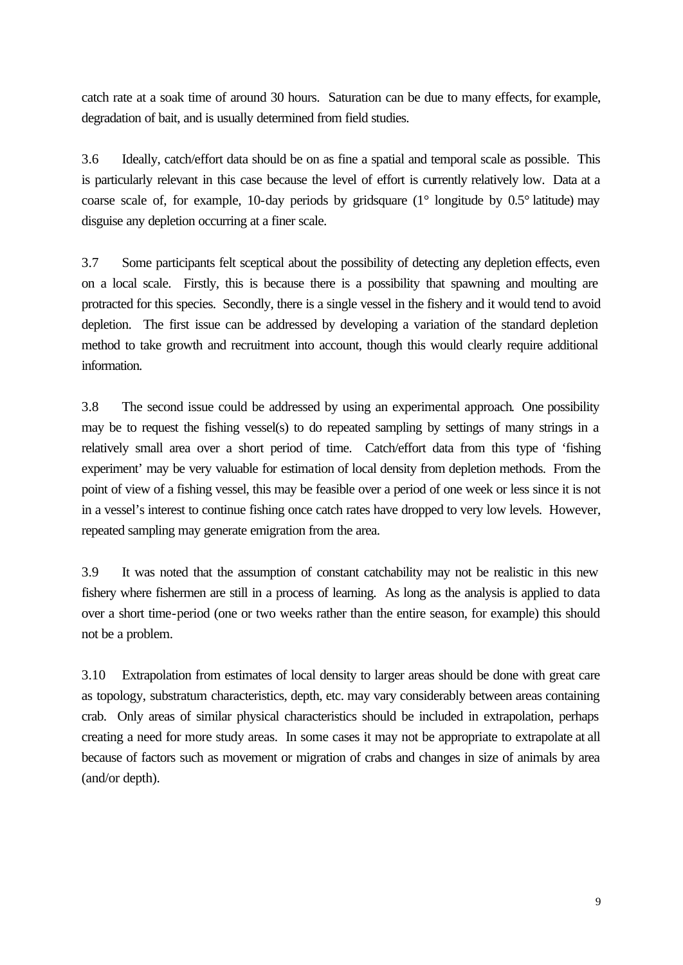catch rate at a soak time of around 30 hours. Saturation can be due to many effects, for example, degradation of bait, and is usually determined from field studies.

3.6 Ideally, catch/effort data should be on as fine a spatial and temporal scale as possible. This is particularly relevant in this case because the level of effort is currently relatively low. Data at a coarse scale of, for example, 10-day periods by gridsquare (1° longitude by 0.5° latitude) may disguise any depletion occurring at a finer scale.

3.7 Some participants felt sceptical about the possibility of detecting any depletion effects, even on a local scale. Firstly, this is because there is a possibility that spawning and moulting are protracted for this species. Secondly, there is a single vessel in the fishery and it would tend to avoid depletion. The first issue can be addressed by developing a variation of the standard depletion method to take growth and recruitment into account, though this would clearly require additional information.

3.8 The second issue could be addressed by using an experimental approach. One possibility may be to request the fishing vessel(s) to do repeated sampling by settings of many strings in a relatively small area over a short period of time. Catch/effort data from this type of 'fishing experiment' may be very valuable for estimation of local density from depletion methods. From the point of view of a fishing vessel, this may be feasible over a period of one week or less since it is not in a vessel's interest to continue fishing once catch rates have dropped to very low levels. However, repeated sampling may generate emigration from the area.

3.9 It was noted that the assumption of constant catchability may not be realistic in this new fishery where fishermen are still in a process of learning. As long as the analysis is applied to data over a short time-period (one or two weeks rather than the entire season, for example) this should not be a problem.

3.10 Extrapolation from estimates of local density to larger areas should be done with great care as topology, substratum characteristics, depth, etc. may vary considerably between areas containing crab. Only areas of similar physical characteristics should be included in extrapolation, perhaps creating a need for more study areas. In some cases it may not be appropriate to extrapolate at all because of factors such as movement or migration of crabs and changes in size of animals by area (and/or depth).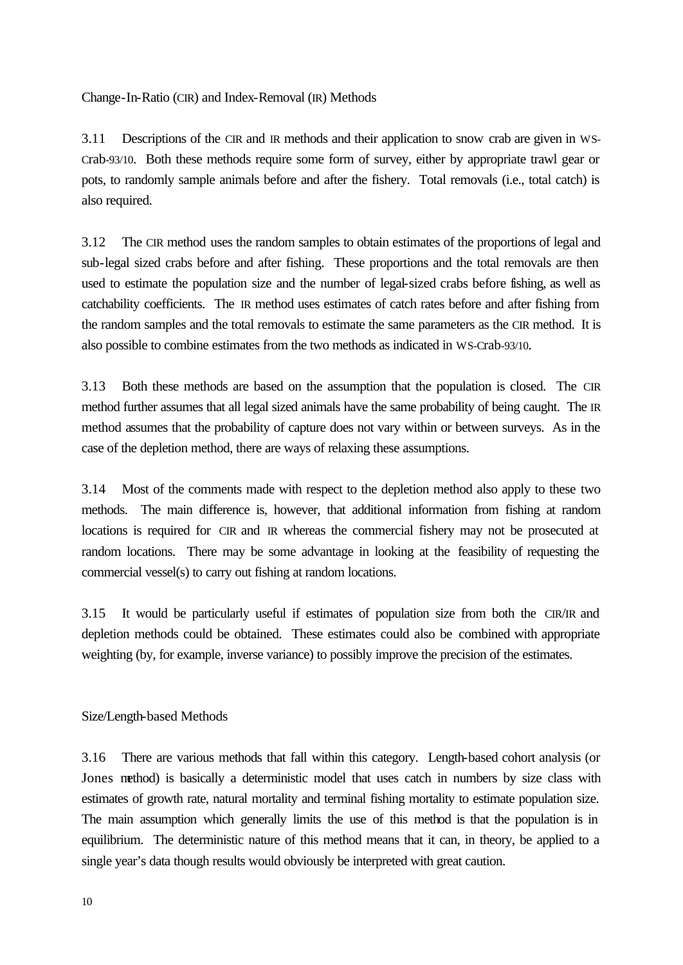Change-In-Ratio (CIR) and Index-Removal (IR) Methods

3.11 Descriptions of the CIR and IR methods and their application to snow crab are given in WS-Crab-93/10. Both these methods require some form of survey, either by appropriate trawl gear or pots, to randomly sample animals before and after the fishery. Total removals (i.e., total catch) is also required.

3.12 The CIR method uses the random samples to obtain estimates of the proportions of legal and sub-legal sized crabs before and after fishing. These proportions and the total removals are then used to estimate the population size and the number of legal-sized crabs before fishing, as well as catchability coefficients. The IR method uses estimates of catch rates before and after fishing from the random samples and the total removals to estimate the same parameters as the CIR method. It is also possible to combine estimates from the two methods as indicated in WS-Crab-93/10.

3.13 Both these methods are based on the assumption that the population is closed. The CIR method further assumes that all legal sized animals have the same probability of being caught. The IR method assumes that the probability of capture does not vary within or between surveys. As in the case of the depletion method, there are ways of relaxing these assumptions.

3.14 Most of the comments made with respect to the depletion method also apply to these two methods. The main difference is, however, that additional information from fishing at random locations is required for CIR and IR whereas the commercial fishery may not be prosecuted at random locations. There may be some advantage in looking at the feasibility of requesting the commercial vessel(s) to carry out fishing at random locations.

3.15 It would be particularly useful if estimates of population size from both the CIR/IR and depletion methods could be obtained. These estimates could also be combined with appropriate weighting (by, for example, inverse variance) to possibly improve the precision of the estimates.

# Size/Length-based Methods

3.16 There are various methods that fall within this category. Length-based cohort analysis (or Jones method) is basically a deterministic model that uses catch in numbers by size class with estimates of growth rate, natural mortality and terminal fishing mortality to estimate population size. The main assumption which generally limits the use of this method is that the population is in equilibrium. The deterministic nature of this method means that it can, in theory, be applied to a single year's data though results would obviously be interpreted with great caution.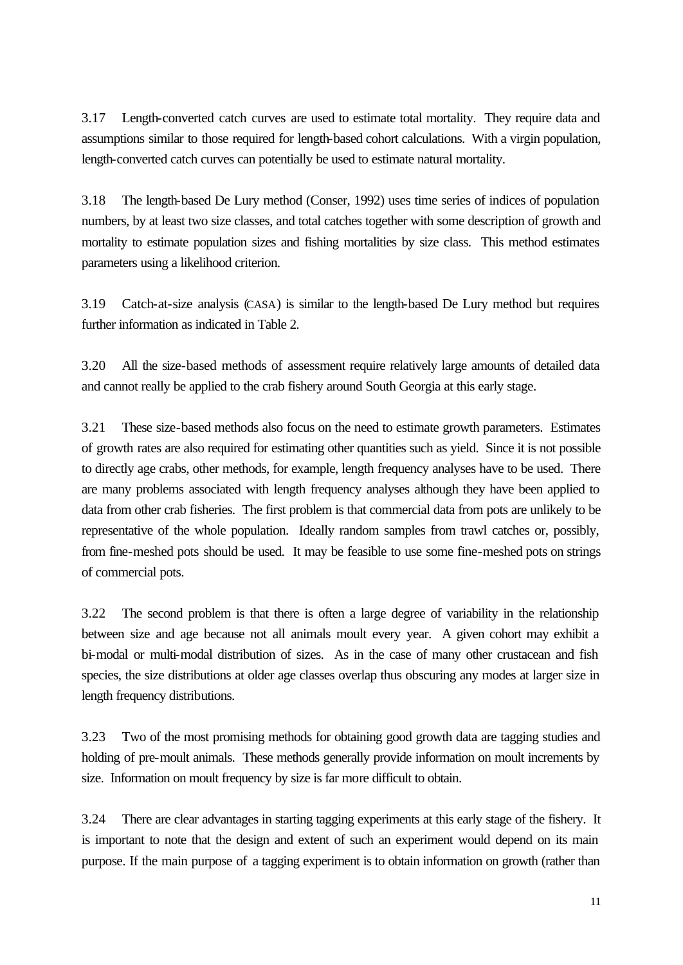3.17 Length-converted catch curves are used to estimate total mortality. They require data and assumptions similar to those required for length-based cohort calculations. With a virgin population, length-converted catch curves can potentially be used to estimate natural mortality.

3.18 The length-based De Lury method (Conser, 1992) uses time series of indices of population numbers, by at least two size classes, and total catches together with some description of growth and mortality to estimate population sizes and fishing mortalities by size class. This method estimates parameters using a likelihood criterion.

3.19 Catch-at-size analysis (CASA) is similar to the length-based De Lury method but requires further information as indicated in Table 2.

3.20 All the size-based methods of assessment require relatively large amounts of detailed data and cannot really be applied to the crab fishery around South Georgia at this early stage.

3.21 These size-based methods also focus on the need to estimate growth parameters. Estimates of growth rates are also required for estimating other quantities such as yield. Since it is not possible to directly age crabs, other methods, for example, length frequency analyses have to be used. There are many problems associated with length frequency analyses although they have been applied to data from other crab fisheries. The first problem is that commercial data from pots are unlikely to be representative of the whole population. Ideally random samples from trawl catches or, possibly, from fine-meshed pots should be used. It may be feasible to use some fine-meshed pots on strings of commercial pots.

3.22 The second problem is that there is often a large degree of variability in the relationship between size and age because not all animals moult every year. A given cohort may exhibit a bi-modal or multi-modal distribution of sizes. As in the case of many other crustacean and fish species, the size distributions at older age classes overlap thus obscuring any modes at larger size in length frequency distributions.

3.23 Two of the most promising methods for obtaining good growth data are tagging studies and holding of pre-moult animals. These methods generally provide information on moult increments by size. Information on moult frequency by size is far more difficult to obtain.

3.24 There are clear advantages in starting tagging experiments at this early stage of the fishery. It is important to note that the design and extent of such an experiment would depend on its main purpose. If the main purpose of a tagging experiment is to obtain information on growth (rather than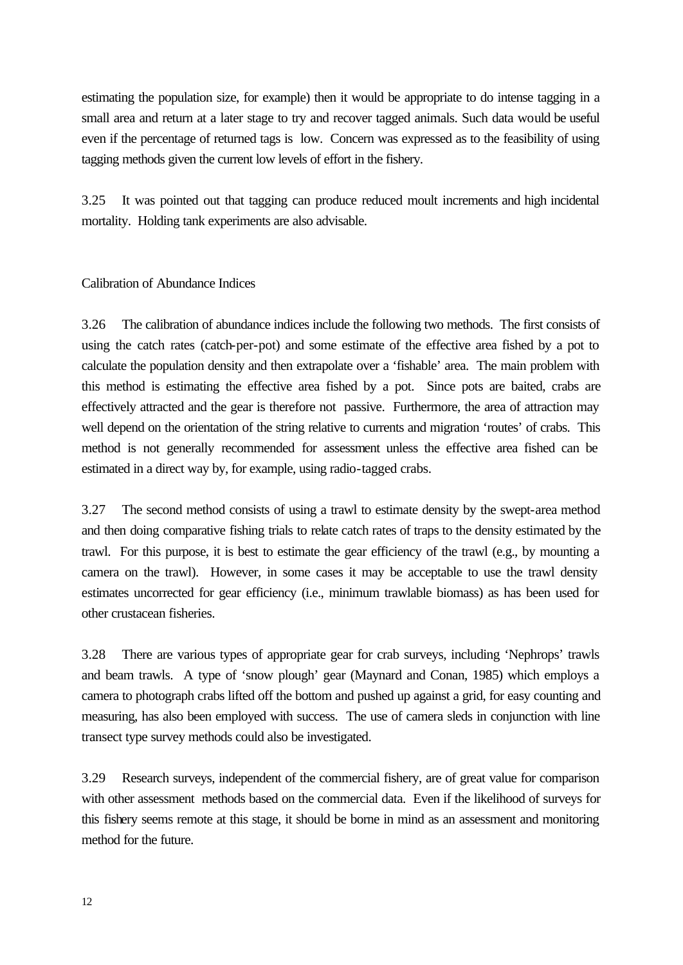estimating the population size, for example) then it would be appropriate to do intense tagging in a small area and return at a later stage to try and recover tagged animals. Such data would be useful even if the percentage of returned tags is low. Concern was expressed as to the feasibility of using tagging methods given the current low levels of effort in the fishery.

3.25 It was pointed out that tagging can produce reduced moult increments and high incidental mortality. Holding tank experiments are also advisable.

Calibration of Abundance Indices

3.26 The calibration of abundance indices include the following two methods. The first consists of using the catch rates (catch-per-pot) and some estimate of the effective area fished by a pot to calculate the population density and then extrapolate over a 'fishable' area. The main problem with this method is estimating the effective area fished by a pot. Since pots are baited, crabs are effectively attracted and the gear is therefore not passive. Furthermore, the area of attraction may well depend on the orientation of the string relative to currents and migration 'routes' of crabs. This method is not generally recommended for assessment unless the effective area fished can be estimated in a direct way by, for example, using radio-tagged crabs.

3.27 The second method consists of using a trawl to estimate density by the swept-area method and then doing comparative fishing trials to relate catch rates of traps to the density estimated by the trawl. For this purpose, it is best to estimate the gear efficiency of the trawl (e.g., by mounting a camera on the trawl). However, in some cases it may be acceptable to use the trawl density estimates uncorrected for gear efficiency (i.e., minimum trawlable biomass) as has been used for other crustacean fisheries.

3.28 There are various types of appropriate gear for crab surveys, including 'Nephrops' trawls and beam trawls. A type of 'snow plough' gear (Maynard and Conan, 1985) which employs a camera to photograph crabs lifted off the bottom and pushed up against a grid, for easy counting and measuring, has also been employed with success. The use of camera sleds in conjunction with line transect type survey methods could also be investigated.

3.29 Research surveys, independent of the commercial fishery, are of great value for comparison with other assessment methods based on the commercial data. Even if the likelihood of surveys for this fishery seems remote at this stage, it should be borne in mind as an assessment and monitoring method for the future.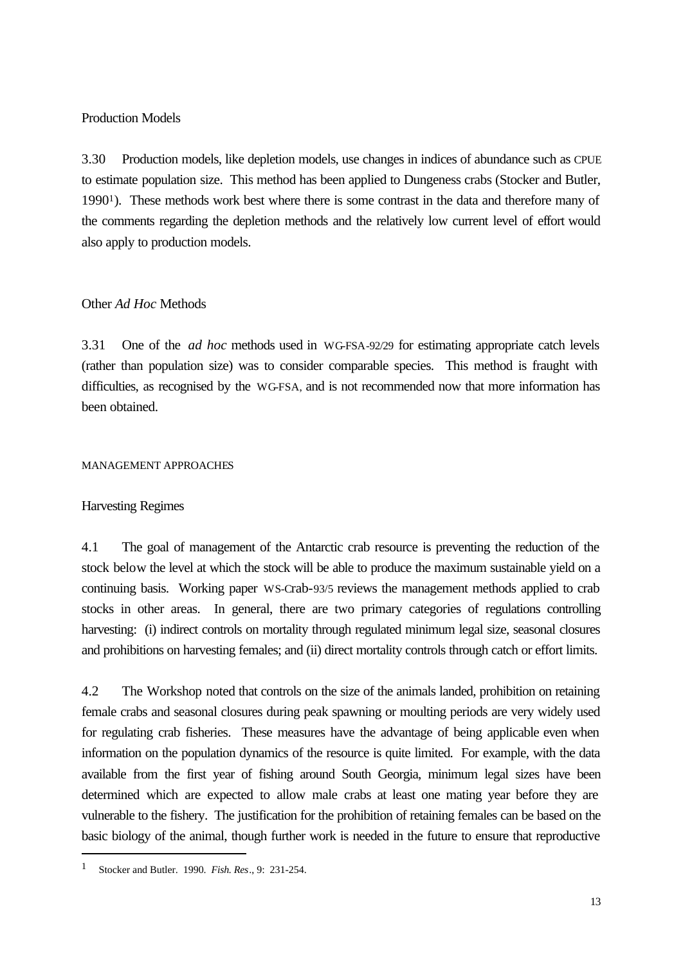Production Models

3.30 Production models, like depletion models, use changes in indices of abundance such as CPUE to estimate population size. This method has been applied to Dungeness crabs (Stocker and Butler, 1990<sup>1</sup>). These methods work best where there is some contrast in the data and therefore many of the comments regarding the depletion methods and the relatively low current level of effort would also apply to production models.

# Other *Ad Hoc* Methods

3.31 One of the *ad hoc* methods used in WG-FSA-92/29 for estimating appropriate catch levels (rather than population size) was to consider comparable species. This method is fraught with difficulties, as recognised by the WG-FSA, and is not recommended now that more information has been obtained.

#### MANAGEMENT APPROACHES

# Harvesting Regimes

4.1 The goal of management of the Antarctic crab resource is preventing the reduction of the stock below the level at which the stock will be able to produce the maximum sustainable yield on a continuing basis. Working paper WS-Crab-93/5 reviews the management methods applied to crab stocks in other areas. In general, there are two primary categories of regulations controlling harvesting: (i) indirect controls on mortality through regulated minimum legal size, seasonal closures and prohibitions on harvesting females; and (ii) direct mortality controls through catch or effort limits.

4.2 The Workshop noted that controls on the size of the animals landed, prohibition on retaining female crabs and seasonal closures during peak spawning or moulting periods are very widely used for regulating crab fisheries. These measures have the advantage of being applicable even when information on the population dynamics of the resource is quite limited. For example, with the data available from the first year of fishing around South Georgia, minimum legal sizes have been determined which are expected to allow male crabs at least one mating year before they are vulnerable to the fishery. The justification for the prohibition of retaining females can be based on the basic biology of the animal, though further work is needed in the future to ensure that reproductive

l

<sup>1</sup> Stocker and Butler. 1990. *Fish. Res*., 9: 231-254.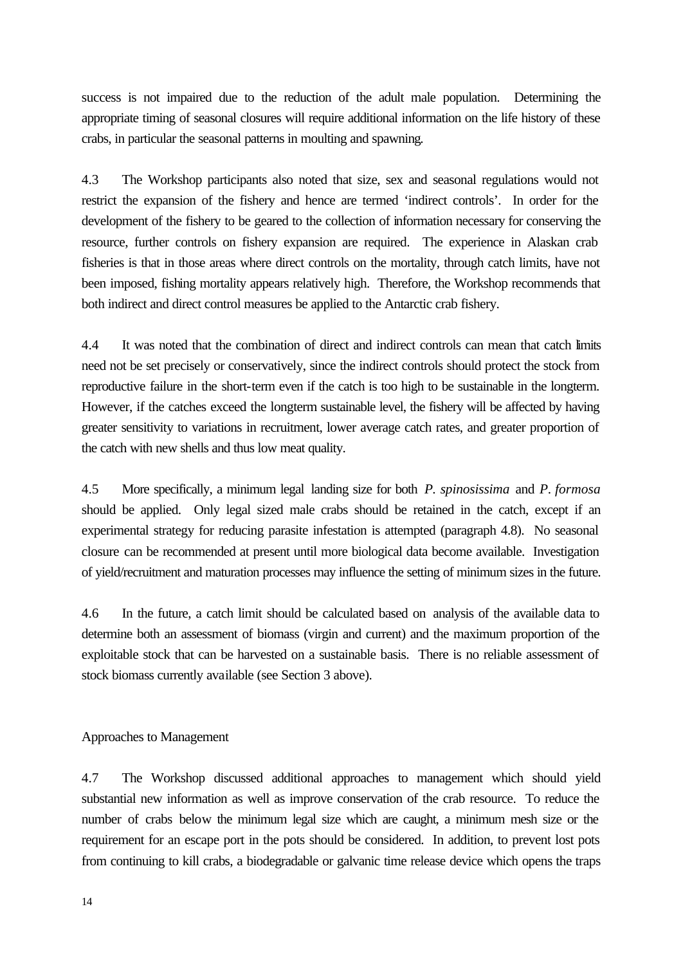success is not impaired due to the reduction of the adult male population. Determining the appropriate timing of seasonal closures will require additional information on the life history of these crabs, in particular the seasonal patterns in moulting and spawning.

4.3 The Workshop participants also noted that size, sex and seasonal regulations would not restrict the expansion of the fishery and hence are termed 'indirect controls'. In order for the development of the fishery to be geared to the collection of information necessary for conserving the resource, further controls on fishery expansion are required. The experience in Alaskan crab fisheries is that in those areas where direct controls on the mortality, through catch limits, have not been imposed, fishing mortality appears relatively high. Therefore, the Workshop recommends that both indirect and direct control measures be applied to the Antarctic crab fishery.

4.4 It was noted that the combination of direct and indirect controls can mean that catch limits need not be set precisely or conservatively, since the indirect controls should protect the stock from reproductive failure in the short-term even if the catch is too high to be sustainable in the longterm. However, if the catches exceed the longterm sustainable level, the fishery will be affected by having greater sensitivity to variations in recruitment, lower average catch rates, and greater proportion of the catch with new shells and thus low meat quality.

4.5 More specifically, a minimum legal landing size for both *P. spinosissima* and *P. formosa* should be applied. Only legal sized male crabs should be retained in the catch, except if an experimental strategy for reducing parasite infestation is attempted (paragraph 4.8). No seasonal closure can be recommended at present until more biological data become available. Investigation of yield/recruitment and maturation processes may influence the setting of minimum sizes in the future.

4.6 In the future, a catch limit should be calculated based on analysis of the available data to determine both an assessment of biomass (virgin and current) and the maximum proportion of the exploitable stock that can be harvested on a sustainable basis. There is no reliable assessment of stock biomass currently available (see Section 3 above).

Approaches to Management

4.7 The Workshop discussed additional approaches to management which should yield substantial new information as well as improve conservation of the crab resource. To reduce the number of crabs below the minimum legal size which are caught, a minimum mesh size or the requirement for an escape port in the pots should be considered. In addition, to prevent lost pots from continuing to kill crabs, a biodegradable or galvanic time release device which opens the traps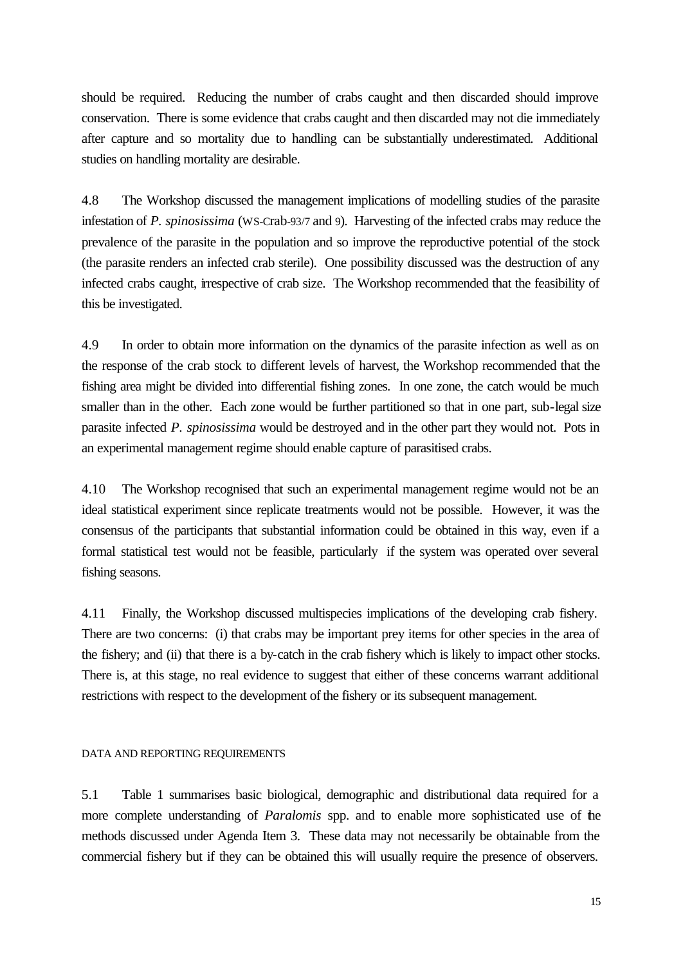should be required. Reducing the number of crabs caught and then discarded should improve conservation. There is some evidence that crabs caught and then discarded may not die immediately after capture and so mortality due to handling can be substantially underestimated. Additional studies on handling mortality are desirable.

4.8 The Workshop discussed the management implications of modelling studies of the parasite infestation of *P. spinosissima* (WS-Crab-93/7 and 9). Harvesting of the infected crabs may reduce the prevalence of the parasite in the population and so improve the reproductive potential of the stock (the parasite renders an infected crab sterile). One possibility discussed was the destruction of any infected crabs caught, irrespective of crab size. The Workshop recommended that the feasibility of this be investigated.

4.9 In order to obtain more information on the dynamics of the parasite infection as well as on the response of the crab stock to different levels of harvest, the Workshop recommended that the fishing area might be divided into differential fishing zones. In one zone, the catch would be much smaller than in the other. Each zone would be further partitioned so that in one part, sub-legal size parasite infected *P. spinosissima* would be destroyed and in the other part they would not. Pots in an experimental management regime should enable capture of parasitised crabs.

4.10 The Workshop recognised that such an experimental management regime would not be an ideal statistical experiment since replicate treatments would not be possible. However, it was the consensus of the participants that substantial information could be obtained in this way, even if a formal statistical test would not be feasible, particularly if the system was operated over several fishing seasons.

4.11 Finally, the Workshop discussed multispecies implications of the developing crab fishery. There are two concerns: (i) that crabs may be important prey items for other species in the area of the fishery; and (ii) that there is a by-catch in the crab fishery which is likely to impact other stocks. There is, at this stage, no real evidence to suggest that either of these concerns warrant additional restrictions with respect to the development of the fishery or its subsequent management.

#### DATA AND REPORTING REQUIREMENTS

5.1 Table 1 summarises basic biological, demographic and distributional data required for a more complete understanding of *Paralomis* spp. and to enable more sophisticated use of the methods discussed under Agenda Item 3. These data may not necessarily be obtainable from the commercial fishery but if they can be obtained this will usually require the presence of observers.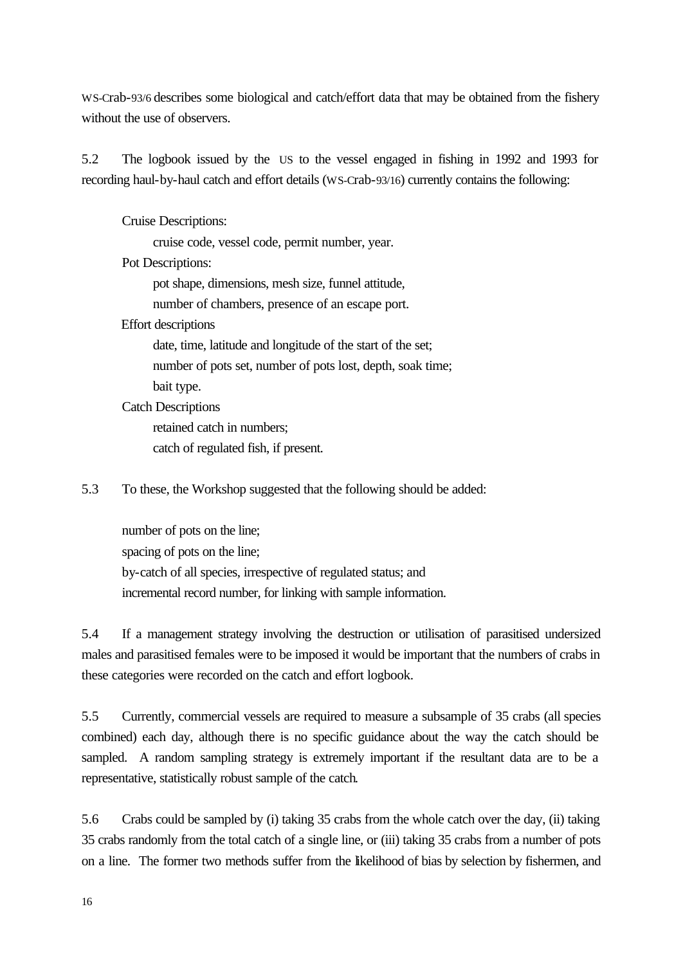WS-Crab-93/6 describes some biological and catch/effort data that may be obtained from the fishery without the use of observers.

5.2 The logbook issued by the US to the vessel engaged in fishing in 1992 and 1993 for recording haul-by-haul catch and effort details (WS-Crab-93/16) currently contains the following:

Cruise Descriptions:

cruise code, vessel code, permit number, year.

Pot Descriptions:

pot shape, dimensions, mesh size, funnel attitude,

number of chambers, presence of an escape port.

Effort descriptions

date, time, latitude and longitude of the start of the set; number of pots set, number of pots lost, depth, soak time; bait type.

Catch Descriptions

retained catch in numbers;

catch of regulated fish, if present.

5.3 To these, the Workshop suggested that the following should be added:

number of pots on the line; spacing of pots on the line; by-catch of all species, irrespective of regulated status; and incremental record number, for linking with sample information.

5.4 If a management strategy involving the destruction or utilisation of parasitised undersized males and parasitised females were to be imposed it would be important that the numbers of crabs in these categories were recorded on the catch and effort logbook.

5.5 Currently, commercial vessels are required to measure a subsample of 35 crabs (all species combined) each day, although there is no specific guidance about the way the catch should be sampled. A random sampling strategy is extremely important if the resultant data are to be a representative, statistically robust sample of the catch.

5.6 Crabs could be sampled by (i) taking 35 crabs from the whole catch over the day, (ii) taking 35 crabs randomly from the total catch of a single line, or (iii) taking 35 crabs from a number of pots on a line. The former two methods suffer from the likelihood of bias by selection by fishermen, and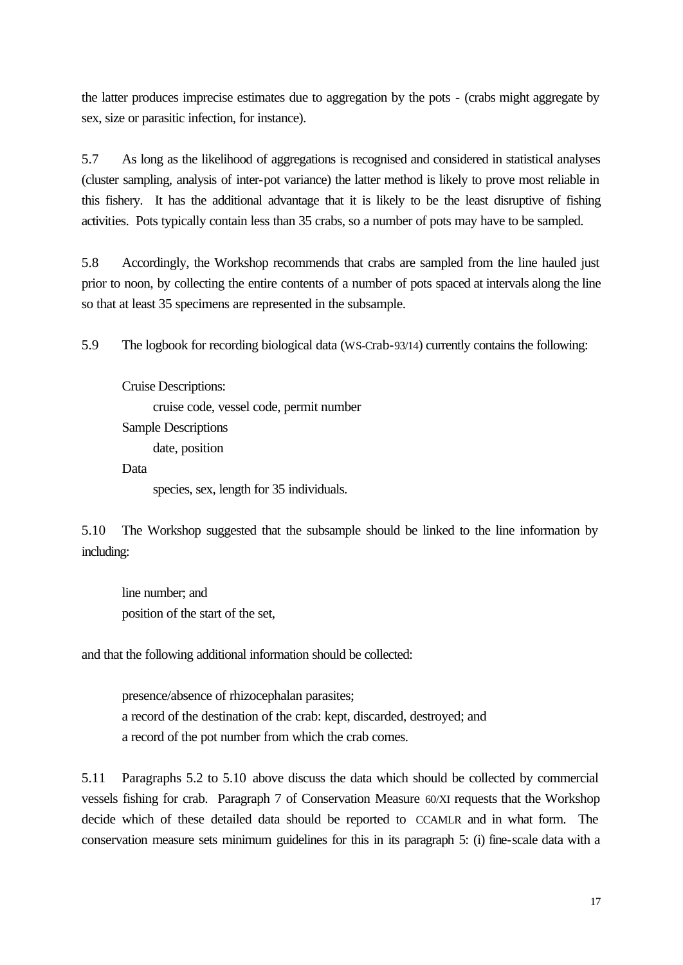the latter produces imprecise estimates due to aggregation by the pots - (crabs might aggregate by sex, size or parasitic infection, for instance).

5.7 As long as the likelihood of aggregations is recognised and considered in statistical analyses (cluster sampling, analysis of inter-pot variance) the latter method is likely to prove most reliable in this fishery. It has the additional advantage that it is likely to be the least disruptive of fishing activities. Pots typically contain less than 35 crabs, so a number of pots may have to be sampled.

5.8 Accordingly, the Workshop recommends that crabs are sampled from the line hauled just prior to noon, by collecting the entire contents of a number of pots spaced at intervals along the line so that at least 35 specimens are represented in the subsample.

5.9 The logbook for recording biological data (WS-Crab-93/14) currently contains the following:

Cruise Descriptions: cruise code, vessel code, permit number Sample Descriptions date, position Data

species, sex, length for 35 individuals.

5.10 The Workshop suggested that the subsample should be linked to the line information by including:

line number; and position of the start of the set,

and that the following additional information should be collected:

presence/absence of rhizocephalan parasites; a record of the destination of the crab: kept, discarded, destroyed; and a record of the pot number from which the crab comes.

5.11 Paragraphs 5.2 to 5.10 above discuss the data which should be collected by commercial vessels fishing for crab. Paragraph 7 of Conservation Measure 60/XI requests that the Workshop decide which of these detailed data should be reported to CCAMLR and in what form. The conservation measure sets minimum guidelines for this in its paragraph 5: (i) fine-scale data with a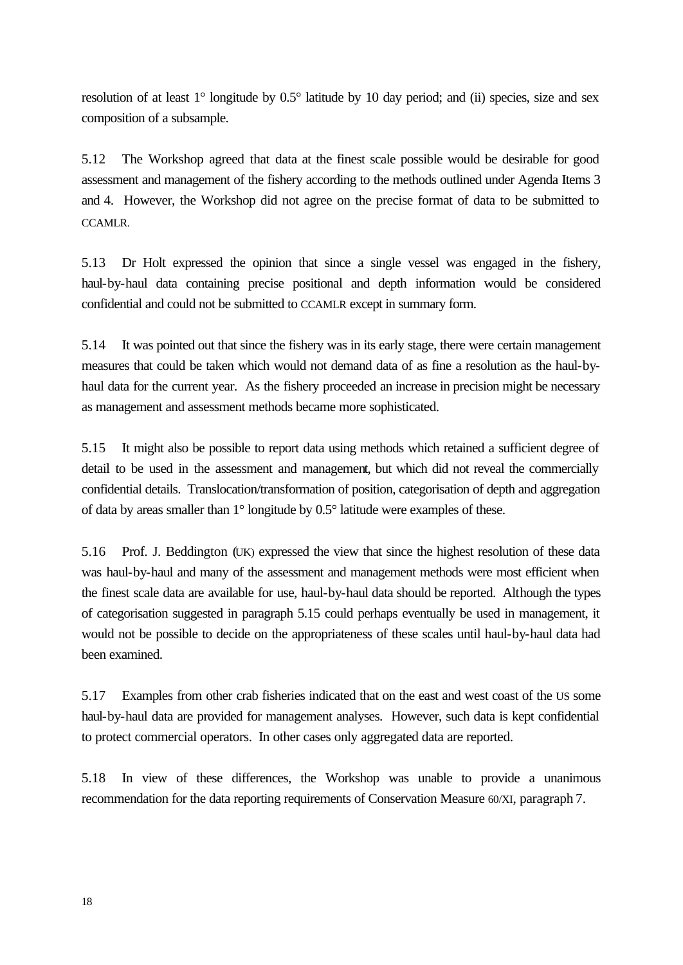resolution of at least 1° longitude by 0.5° latitude by 10 day period; and (ii) species, size and sex composition of a subsample.

5.12 The Workshop agreed that data at the finest scale possible would be desirable for good assessment and management of the fishery according to the methods outlined under Agenda Items 3 and 4. However, the Workshop did not agree on the precise format of data to be submitted to CCAMLR.

5.13 Dr Holt expressed the opinion that since a single vessel was engaged in the fishery, haul-by-haul data containing precise positional and depth information would be considered confidential and could not be submitted to CCAMLR except in summary form.

5.14 It was pointed out that since the fishery was in its early stage, there were certain management measures that could be taken which would not demand data of as fine a resolution as the haul-byhaul data for the current year. As the fishery proceeded an increase in precision might be necessary as management and assessment methods became more sophisticated.

5.15 It might also be possible to report data using methods which retained a sufficient degree of detail to be used in the assessment and management, but which did not reveal the commercially confidential details. Translocation/transformation of position, categorisation of depth and aggregation of data by areas smaller than 1° longitude by 0.5° latitude were examples of these.

5.16 Prof. J. Beddington (UK) expressed the view that since the highest resolution of these data was haul-by-haul and many of the assessment and management methods were most efficient when the finest scale data are available for use, haul-by-haul data should be reported. Although the types of categorisation suggested in paragraph 5.15 could perhaps eventually be used in management, it would not be possible to decide on the appropriateness of these scales until haul-by-haul data had been examined.

5.17 Examples from other crab fisheries indicated that on the east and west coast of the US some haul-by-haul data are provided for management analyses. However, such data is kept confidential to protect commercial operators. In other cases only aggregated data are reported.

5.18 In view of these differences, the Workshop was unable to provide a unanimous recommendation for the data reporting requirements of Conservation Measure 60/XI, paragraph 7.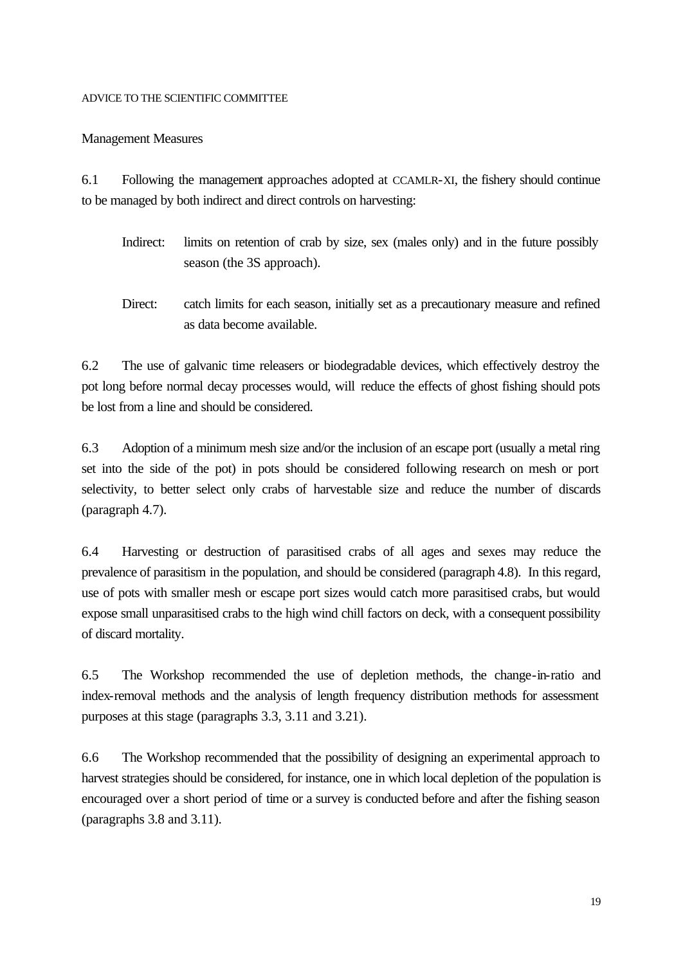# ADVICE TO THE SCIENTIFIC COMMITTEE

# Management Measures

6.1 Following the management approaches adopted at CCAMLR-XI, the fishery should continue to be managed by both indirect and direct controls on harvesting:

- Indirect: limits on retention of crab by size, sex (males only) and in the future possibly season (the 3S approach).
- Direct: catch limits for each season, initially set as a precautionary measure and refined as data become available.

6.2 The use of galvanic time releasers or biodegradable devices, which effectively destroy the pot long before normal decay processes would, will reduce the effects of ghost fishing should pots be lost from a line and should be considered.

6.3 Adoption of a minimum mesh size and/or the inclusion of an escape port (usually a metal ring set into the side of the pot) in pots should be considered following research on mesh or port selectivity, to better select only crabs of harvestable size and reduce the number of discards (paragraph 4.7).

6.4 Harvesting or destruction of parasitised crabs of all ages and sexes may reduce the prevalence of parasitism in the population, and should be considered (paragraph 4.8). In this regard, use of pots with smaller mesh or escape port sizes would catch more parasitised crabs, but would expose small unparasitised crabs to the high wind chill factors on deck, with a consequent possibility of discard mortality.

6.5 The Workshop recommended the use of depletion methods, the change-in-ratio and index-removal methods and the analysis of length frequency distribution methods for assessment purposes at this stage (paragraphs 3.3, 3.11 and 3.21).

6.6 The Workshop recommended that the possibility of designing an experimental approach to harvest strategies should be considered, for instance, one in which local depletion of the population is encouraged over a short period of time or a survey is conducted before and after the fishing season (paragraphs 3.8 and 3.11).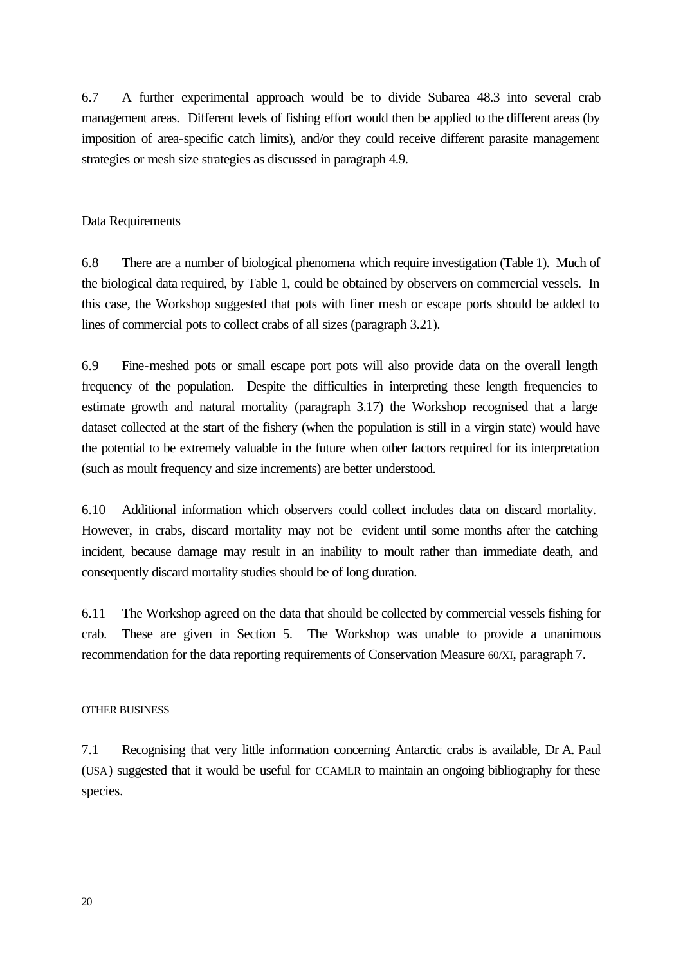6.7 A further experimental approach would be to divide Subarea 48.3 into several crab management areas. Different levels of fishing effort would then be applied to the different areas (by imposition of area-specific catch limits), and/or they could receive different parasite management strategies or mesh size strategies as discussed in paragraph 4.9.

### Data Requirements

6.8 There are a number of biological phenomena which require investigation (Table 1). Much of the biological data required, by Table 1, could be obtained by observers on commercial vessels. In this case, the Workshop suggested that pots with finer mesh or escape ports should be added to lines of commercial pots to collect crabs of all sizes (paragraph 3.21).

6.9 Fine-meshed pots or small escape port pots will also provide data on the overall length frequency of the population. Despite the difficulties in interpreting these length frequencies to estimate growth and natural mortality (paragraph 3.17) the Workshop recognised that a large dataset collected at the start of the fishery (when the population is still in a virgin state) would have the potential to be extremely valuable in the future when other factors required for its interpretation (such as moult frequency and size increments) are better understood.

6.10 Additional information which observers could collect includes data on discard mortality. However, in crabs, discard mortality may not be evident until some months after the catching incident, because damage may result in an inability to moult rather than immediate death, and consequently discard mortality studies should be of long duration.

6.11 The Workshop agreed on the data that should be collected by commercial vessels fishing for crab. These are given in Section 5. The Workshop was unable to provide a unanimous recommendation for the data reporting requirements of Conservation Measure 60/XI, paragraph 7.

#### OTHER BUSINESS

7.1 Recognising that very little information concerning Antarctic crabs is available, Dr A. Paul (USA) suggested that it would be useful for CCAMLR to maintain an ongoing bibliography for these species.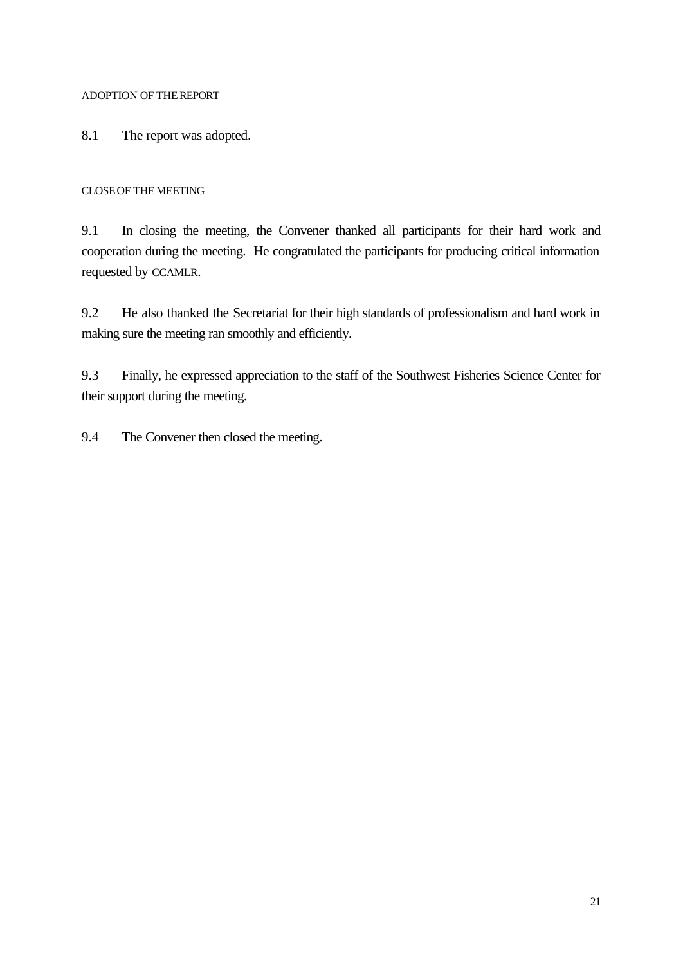# ADOPTION OF THEREPORT

8.1 The report was adopted.

# CLOSEOF THEMEETING

9.1 In closing the meeting, the Convener thanked all participants for their hard work and cooperation during the meeting. He congratulated the participants for producing critical information requested by CCAMLR.

9.2 He also thanked the Secretariat for their high standards of professionalism and hard work in making sure the meeting ran smoothly and efficiently.

9.3 Finally, he expressed appreciation to the staff of the Southwest Fisheries Science Center for their support during the meeting.

9.4 The Convener then closed the meeting.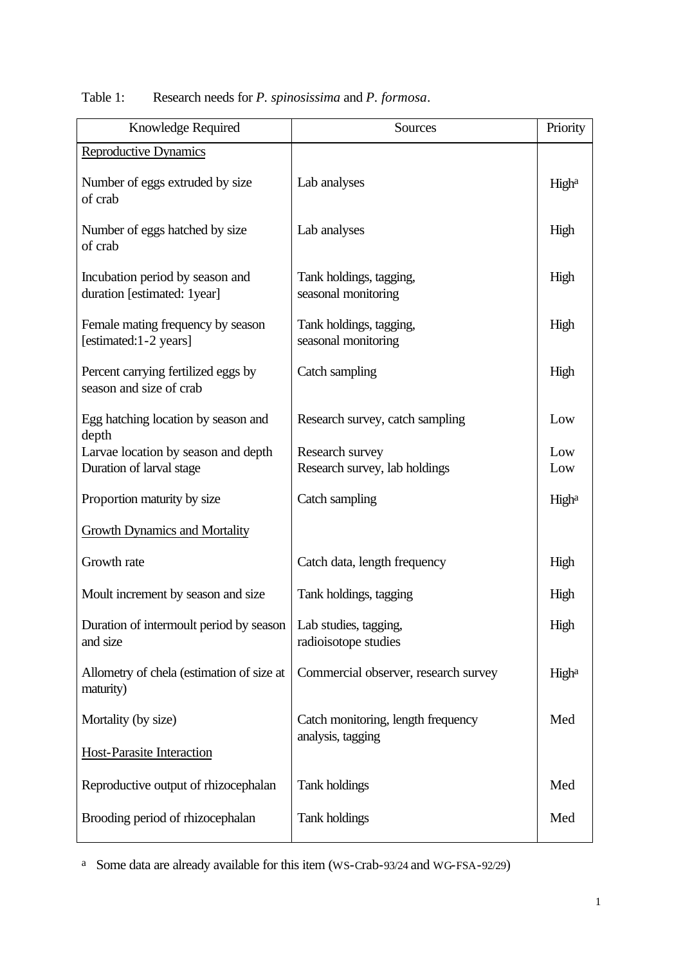| Knowledge Required                                              | Sources                                                 | Priority   |
|-----------------------------------------------------------------|---------------------------------------------------------|------------|
| <b>Reproductive Dynamics</b>                                    |                                                         |            |
| Number of eggs extruded by size<br>of crab                      | Lab analyses                                            | Higha      |
| Number of eggs hatched by size<br>of crab                       | Lab analyses                                            | High       |
| Incubation period by season and<br>duration [estimated: 1year]  | Tank holdings, tagging,<br>seasonal monitoring          | High       |
| Female mating frequency by season<br>[estimated:1-2 years]      | Tank holdings, tagging,<br>seasonal monitoring          | High       |
| Percent carrying fertilized eggs by<br>season and size of crab  | Catch sampling                                          | High       |
| Egg hatching location by season and<br>depth                    | Research survey, catch sampling                         | Low        |
| Larvae location by season and depth<br>Duration of larval stage | Research survey<br>Research survey, lab holdings        | Low<br>Low |
| Proportion maturity by size                                     | Catch sampling                                          | Higha      |
| <b>Growth Dynamics and Mortality</b>                            |                                                         |            |
| Growth rate                                                     | Catch data, length frequency                            | High       |
| Moult increment by season and size                              | Tank holdings, tagging                                  | High       |
| Duration of intermoult period by season<br>and size             | Lab studies, tagging,<br>radioisotope studies           | High       |
| Allometry of chela (estimation of size at<br>maturity)          | Commercial observer, research survey                    | Higha      |
| Mortality (by size)                                             | Catch monitoring, length frequency<br>analysis, tagging | Med        |
| <b>Host-Parasite Interaction</b>                                |                                                         |            |
| Reproductive output of rhizocephalan                            | Tank holdings                                           | Med        |
| Brooding period of rhizocephalan                                | Tank holdings                                           | Med        |

Table 1: Research needs for *P. spinosissima* and *P. formosa*.

<sup>a</sup> Some data are already available for this item (WS-Crab-93/24 and WG-FSA-92/29)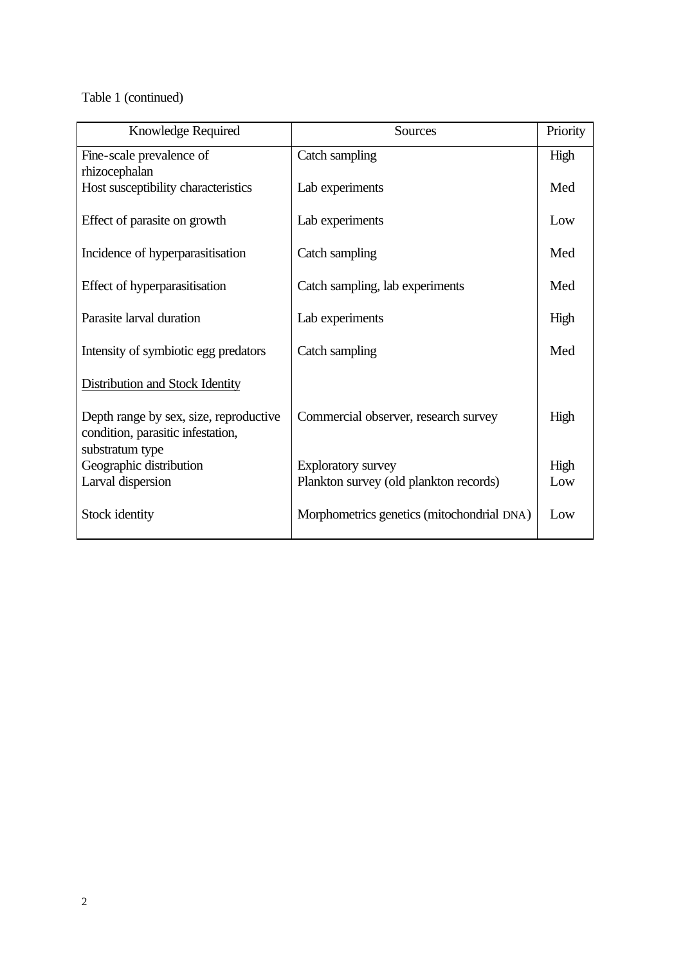Table 1 (continued)

| Knowledge Required                                                                             | Sources                                    | Priority |
|------------------------------------------------------------------------------------------------|--------------------------------------------|----------|
| Fine-scale prevalence of<br>rhizocephalan                                                      | Catch sampling                             | High     |
| Host susceptibility characteristics                                                            | Lab experiments                            | Med      |
| Effect of parasite on growth                                                                   | Lab experiments                            | Low      |
| Incidence of hyperparasitisation                                                               | Catch sampling                             | Med      |
| Effect of hyperparasitisation                                                                  | Catch sampling, lab experiments            | Med      |
| Parasite larval duration                                                                       | Lab experiments                            | High     |
| Intensity of symbiotic egg predators                                                           | Catch sampling                             | Med      |
| <b>Distribution and Stock Identity</b>                                                         |                                            |          |
| Depth range by sex, size, reproductive<br>condition, parasitic infestation,<br>substratum type | Commercial observer, research survey       | High     |
| Geographic distribution                                                                        | <b>Exploratory survey</b>                  | High     |
| Larval dispersion                                                                              | Plankton survey (old plankton records)     | Low      |
| Stock identity                                                                                 | Morphometrics genetics (mitochondrial DNA) | Low      |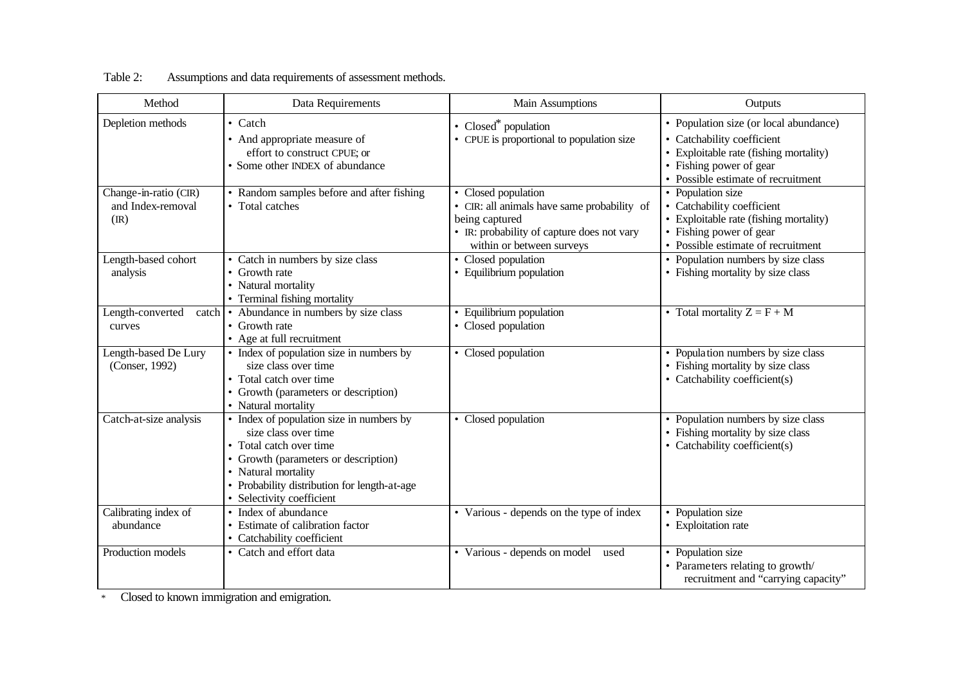| Method                                            | Data Requirements                                                                                                                                                                                                                       | Main Assumptions                                                                                                                                                | Outputs                                                                                                                                                                       |
|---------------------------------------------------|-----------------------------------------------------------------------------------------------------------------------------------------------------------------------------------------------------------------------------------------|-----------------------------------------------------------------------------------------------------------------------------------------------------------------|-------------------------------------------------------------------------------------------------------------------------------------------------------------------------------|
| Depletion methods                                 | • Catch<br>• And appropriate measure of<br>effort to construct CPUE; or<br>• Some other INDEX of abundance                                                                                                                              | • Closed* population<br>• CPUE is proportional to population size                                                                                               | • Population size (or local abundance)<br>Catchability coefficient<br>• Exploitable rate (fishing mortality)<br>• Fishing power of gear<br>• Possible estimate of recruitment |
| Change-in-ratio (CIR)<br>and Index-removal<br>(R) | • Random samples before and after fishing<br>• Total catches                                                                                                                                                                            | • Closed population<br>• CIR: all animals have same probability of<br>being captured<br>• IR: probability of capture does not vary<br>within or between surveys | • Population size<br>• Catchability coefficient<br>• Exploitable rate (fishing mortality)<br>• Fishing power of gear<br>• Possible estimate of recruitment                    |
| Length-based cohort<br>analysis                   | • Catch in numbers by size class<br>• Growth rate<br>• Natural mortality<br>• Terminal fishing mortality                                                                                                                                | • Closed population<br>• Equilibrium population                                                                                                                 | • Population numbers by size class<br>• Fishing mortality by size class                                                                                                       |
| Length-converted<br>curves                        | catch • Abundance in numbers by size class<br>• Growth rate<br>• Age at full recruitment                                                                                                                                                | • Equilibrium population<br>• Closed population                                                                                                                 | • Total mortality $Z = F + M$                                                                                                                                                 |
| Length-based De Lury<br>(Conser, 1992)            | • Index of population size in numbers by<br>size class over time<br>• Total catch over time<br>• Growth (parameters or description)<br>• Natural mortality                                                                              | • Closed population                                                                                                                                             | • Population numbers by size class<br>• Fishing mortality by size class<br>• Catchability coefficient(s)                                                                      |
| Catch-at-size analysis                            | • Index of population size in numbers by<br>size class over time<br>• Total catch over time<br>• Growth (parameters or description)<br>• Natural mortality<br>• Probability distribution for length-at-age<br>• Selectivity coefficient | • Closed population                                                                                                                                             | • Population numbers by size class<br>• Fishing mortality by size class<br>• Catchability coefficient(s)                                                                      |
| Calibrating index of<br>abundance                 | • Index of abundance<br>• Estimate of calibration factor<br>• Catchability coefficient                                                                                                                                                  | • Various - depends on the type of index                                                                                                                        | • Population size<br>• Exploitation rate                                                                                                                                      |
| Production models                                 | • Catch and effort data                                                                                                                                                                                                                 | • Various - depends on model<br>used                                                                                                                            | • Population size<br>• Parameters relating to growth/<br>recruitment and "carrying capacity"                                                                                  |

Table 2: Assumptions and data requirements of assessment methods.

\* Closed to known immigration and emigration.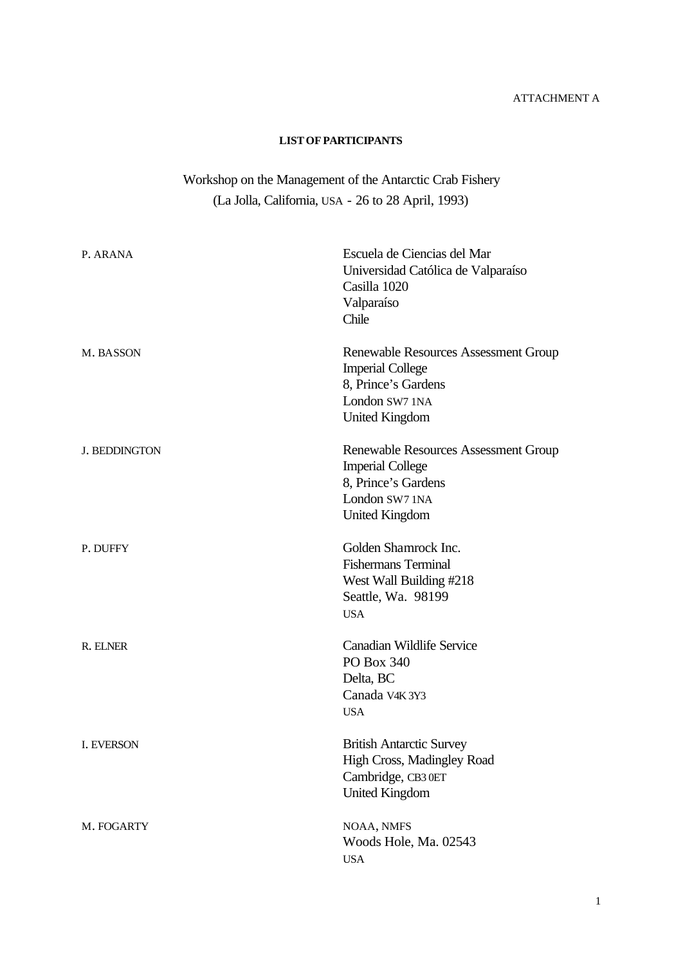### ATTACHMENT A

#### **LISTOFPARTICIPANTS**

# Workshop on the Management of the Antarctic Crab Fishery (La Jolla, California, USA - 26 to 28 April, 1993)

| P. ARANA             | Escuela de Ciencias del Mar<br>Universidad Católica de Valparaíso<br>Casilla 1020<br>Valparaíso<br>Chile                          |
|----------------------|-----------------------------------------------------------------------------------------------------------------------------------|
| M. BASSON            | Renewable Resources Assessment Group<br><b>Imperial College</b><br>8, Prince's Gardens<br>London SW7 1NA<br><b>United Kingdom</b> |
| <b>J. BEDDINGTON</b> | Renewable Resources Assessment Group<br><b>Imperial College</b><br>8, Prince's Gardens<br>London SW7 1NA<br><b>United Kingdom</b> |
| P. DUFFY             | Golden Shamrock Inc.<br><b>Fishermans Terminal</b><br>West Wall Building #218<br>Seattle, Wa. 98199<br><b>USA</b>                 |
| R. ELNER             | <b>Canadian Wildlife Service</b><br>PO Box 340<br>Delta, BC<br>Canada V4K 3Y3<br><b>USA</b>                                       |
| <b>I. EVERSON</b>    | <b>British Antarctic Survey</b><br>High Cross, Madingley Road<br>Cambridge, CB3 0ET<br><b>United Kingdom</b>                      |
| M. FOGARTY           | NOAA, NMFS<br>Woods Hole, Ma. 02543<br><b>USA</b>                                                                                 |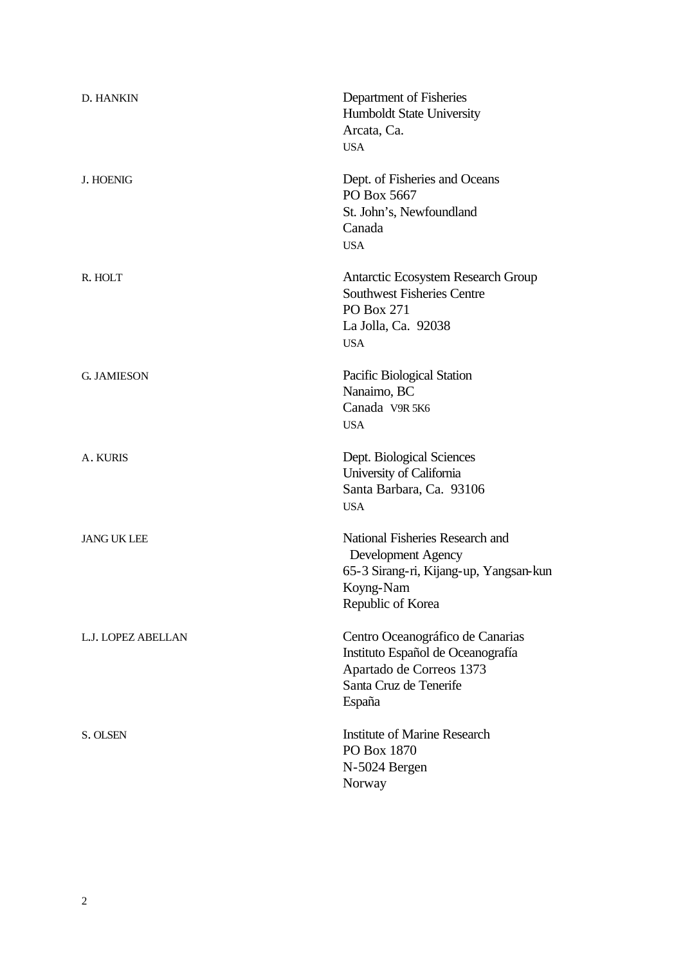| <b>D. HANKIN</b>   | Department of Fisheries<br><b>Humboldt State University</b><br>Arcata, Ca.<br><b>USA</b>                                              |
|--------------------|---------------------------------------------------------------------------------------------------------------------------------------|
| <b>J. HOENIG</b>   | Dept. of Fisheries and Oceans<br>PO Box 5667<br>St. John's, Newfoundland<br>Canada<br><b>USA</b>                                      |
| R. HOLT            | Antarctic Ecosystem Research Group<br><b>Southwest Fisheries Centre</b><br>PO Box 271<br>La Jolla, Ca. 92038<br><b>USA</b>            |
| <b>G. JAMIESON</b> | Pacific Biological Station<br>Nanaimo, BC<br>Canada V9R 5K6<br><b>USA</b>                                                             |
| A. KURIS           | Dept. Biological Sciences<br>University of California<br>Santa Barbara, Ca. 93106<br><b>USA</b>                                       |
| <b>JANG UK LEE</b> | National Fisheries Research and<br>Development Agency<br>65-3 Sirang-ri, Kijang-up, Yangsan-kun<br>Koyng-Nam<br>Republic of Korea     |
| L.J. LOPEZ ABELLAN | Centro Oceanográfico de Canarias<br>Instituto Español de Oceanografía<br>Apartado de Correos 1373<br>Santa Cruz de Tenerife<br>España |
| S. OLSEN           | <b>Institute of Marine Research</b><br>PO Box 1870<br>N-5024 Bergen<br>Norway                                                         |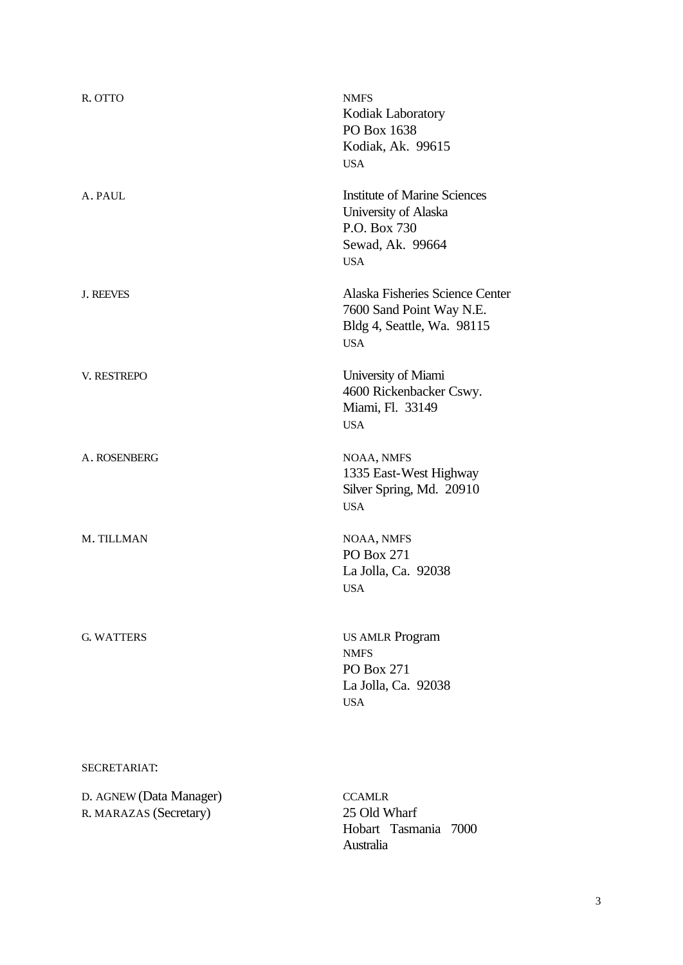| R. OTTO                                           | <b>NMFS</b><br>Kodiak Laboratory<br>PO Box 1638<br>Kodiak, Ak. 99615<br><b>USA</b>                            |
|---------------------------------------------------|---------------------------------------------------------------------------------------------------------------|
| A. PAUL                                           | <b>Institute of Marine Sciences</b><br>University of Alaska<br>P.O. Box 730<br>Sewad, Ak. 99664<br><b>USA</b> |
| <b>J. REEVES</b>                                  | Alaska Fisheries Science Center<br>7600 Sand Point Way N.E.<br>Bldg 4, Seattle, Wa. 98115<br><b>USA</b>       |
| V. RESTREPO                                       | University of Miami<br>4600 Rickenbacker Cswy.<br>Miami, Fl. 33149<br><b>USA</b>                              |
| A. ROSENBERG                                      | NOAA, NMFS<br>1335 East-West Highway<br>Silver Spring, Md. 20910<br><b>USA</b>                                |
| M. TILLMAN                                        | NOAA, NMFS<br>PO Box 271<br>La Jolla, Ca. 92038<br><b>USA</b>                                                 |
| <b>G. WATTERS</b>                                 | <b>US AMLR Program</b><br><b>NMFS</b><br>PO Box 271<br>La Jolla, Ca. 92038<br><b>USA</b>                      |
| SECRETARIAT:                                      |                                                                                                               |
| D. AGNEW (Data Manager)<br>R. MARAZAS (Secretary) | <b>CCAMLR</b><br>25 Old Wharf<br>Hobart Tasmania 7000<br>Australia                                            |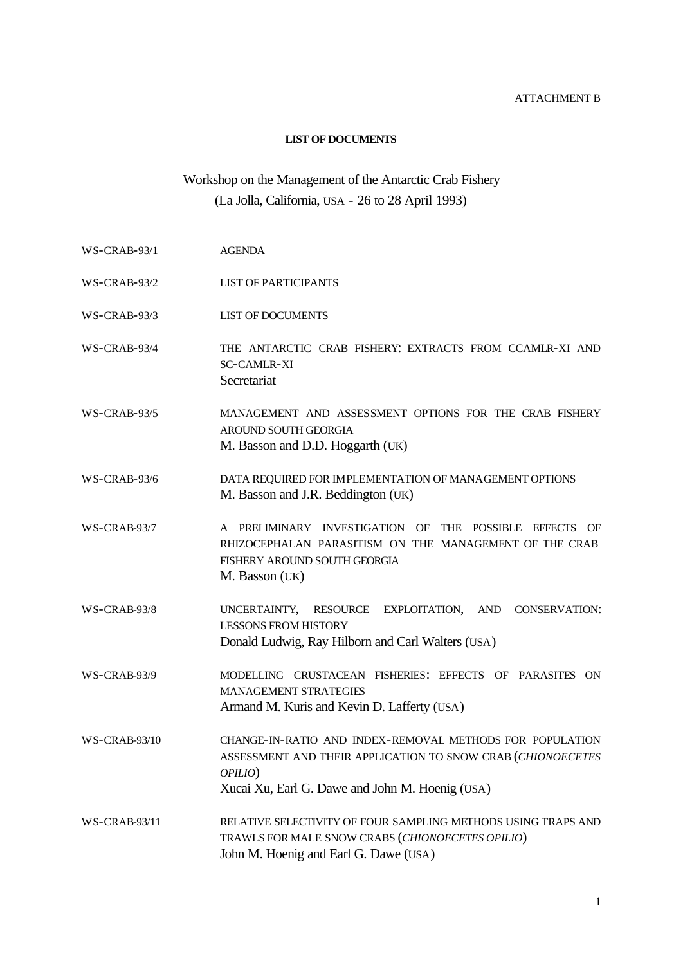#### ATTACHMENT B

#### **LIST OF DOCUMENTS**

# Workshop on the Management of the Antarctic Crab Fishery (La Jolla, California, USA - 26 to 28 April 1993)

- WS-CRAB-93/1 AGENDA
- WS-CRAB-93/2 LIST OF PARTICIPANTS
- WS-CRAB-93/3 LIST OF DOCUMENTS
- WS-CRAB-93/4 THE ANTARCTIC CRAB FISHERY: EXTRACTS FROM CCAMLR-XI AND SC-CAMLR-XI **Secretariat**
- WS-CRAB-93/5 MANAGEMENT AND ASSESSMENT OPTIONS FOR THE CRAB FISHERY AROUND SOUTH GEORGIA M. Basson and D.D. Hoggarth (UK)
- WS-CRAB-93/6 DATA REQUIRED FOR IMPLEMENTATION OF MANAGEMENT OPTIONS M. Basson and J.R. Beddington (UK)
- WS-CRAB-93/7 A PRELIMINARY INVESTIGATION OF THE POSSIBLE EFFECTS OF RHIZOCEPHALAN PARASITISM ON THE MANAGEMENT OF THE CRAB FISHERY AROUND SOUTH GEORGIA M. Basson (UK)
- WS-CRAB-93/8 UNCERTAINTY, RESOURCE EXPLOITATION, AND CONSERVATION: LESSONS FROM HISTORY Donald Ludwig, Ray Hilborn and Carl Walters (USA)

WS-CRAB-93/9 MODELLING CRUSTACEAN FISHERIES: EFFECTS OF PARASITES ON MANAGEMENT STRATEGIES Armand M. Kuris and Kevin D. Lafferty (USA)

- WS-CRAB-93/10 CHANGE-IN-RATIO AND INDEX-REMOVAL METHODS FOR POPULATION ASSESSMENT AND THEIR APPLICATION TO SNOW CRAB (*CHIONOECETES OPILIO*) Xucai Xu, Earl G. Dawe and John M. Hoenig (USA)
- WS-CRAB-93/11 RELATIVE SELECTIVITY OF FOUR SAMPLING METHODS USING TRAPS AND TRAWLS FOR MALE SNOW CRABS (*CHIONOECETES OPILIO*) John M. Hoenig and Earl G. Dawe (USA)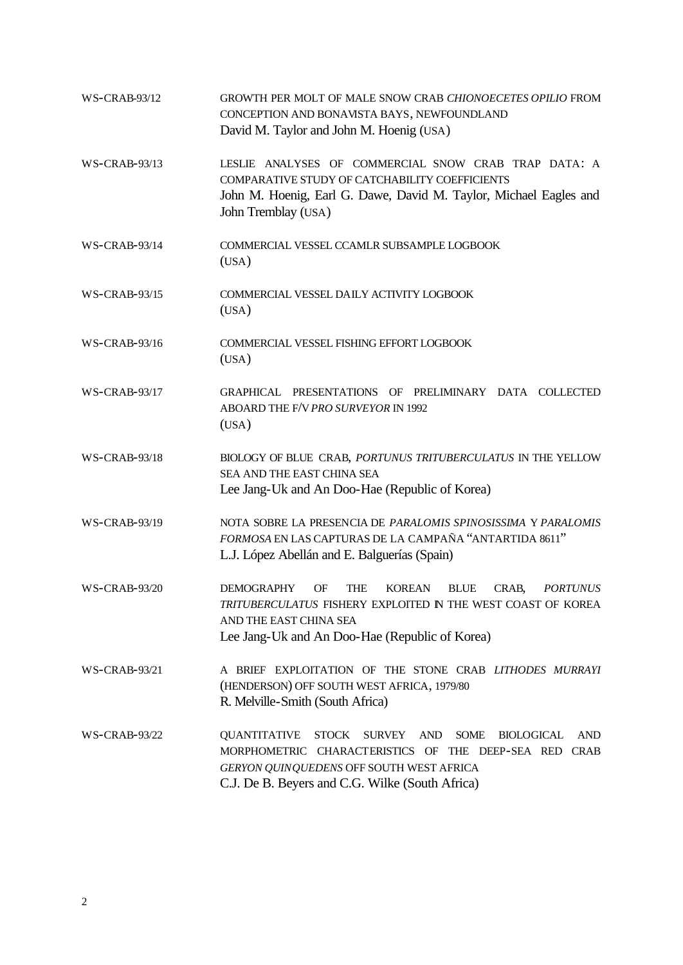| <b>WS-CRAB-93/12</b> | GROWTH PER MOLT OF MALE SNOW CRAB CHIONOECETES OPILIO FROM<br>CONCEPTION AND BONAVISTA BAYS, NEWFOUNDLAND<br>David M. Taylor and John M. Hoenig (USA)                                                                                                |
|----------------------|------------------------------------------------------------------------------------------------------------------------------------------------------------------------------------------------------------------------------------------------------|
| <b>WS-CRAB-93/13</b> | LESLIE ANALYSES OF COMMERCIAL SNOW CRAB TRAP DATA: A<br>COMPARATIVE STUDY OF CATCHABILITY COEFFICIENTS<br>John M. Hoenig, Earl G. Dawe, David M. Taylor, Michael Eagles and<br>John Tremblay (USA)                                                   |
| <b>WS-CRAB-93/14</b> | COMMERCIAL VESSEL CCAMLR SUBSAMPLE LOGBOOK<br>(USA)                                                                                                                                                                                                  |
| <b>WS-CRAB-93/15</b> | COMMERCIAL VESSEL DAILY ACTIVITY LOGBOOK<br>(USA)                                                                                                                                                                                                    |
| <b>WS-CRAB-93/16</b> | COMMERCIAL VESSEL FISHING EFFORT LOGBOOK<br>(USA)                                                                                                                                                                                                    |
| <b>WS-CRAB-93/17</b> | GRAPHICAL PRESENTATIONS OF PRELIMINARY DATA COLLECTED<br>ABOARD THE F/V PRO SURVEYOR IN 1992<br>(USA)                                                                                                                                                |
| <b>WS-CRAB-93/18</b> | BIOLOGY OF BLUE CRAB, PORTUNUS TRITUBERCULATUS IN THE YELLOW<br>SEA AND THE EAST CHINA SEA<br>Lee Jang-Uk and An Doo-Hae (Republic of Korea)                                                                                                         |
| <b>WS-CRAB-93/19</b> | NOTA SOBRE LA PRESENCIA DE PARALOMIS SPINOSISSIMA Y PARALOMIS<br>FORMOSA EN LAS CAPTURAS DE LA CAMPAÑA "ANTARTIDA 8611"<br>L.J. López Abellán and E. Balguerías (Spain)                                                                              |
| <b>WS-CRAB-93/20</b> | <b>BLUE</b><br><b>DEMOGRAPHY</b><br>OF<br>THE<br>KOREAN<br>CRAB,<br><i>PORTUNUS</i><br>TRITUBERCULATUS FISHERY EXPLOITED IN THE WEST COAST OF KOREA<br>AND THE EAST CHINA SEA<br>Lee Jang-Uk and An Doo-Hae (Republic of Korea)                      |
| WS-CRAB-93/21        | A BRIEF EXPLOITATION OF THE STONE CRAB LITHODES MURRAYI<br>(HENDERSON) OFF SOUTH WEST AFRICA, 1979/80<br>R. Melville-Smith (South Africa)                                                                                                            |
| WS-CRAB-93/22        | <b>QUANTITATIVE</b><br><b>STOCK</b><br>SURVEY AND<br><b>SOME</b><br><b>BIOLOGICAL</b><br>AND<br>MORPHOMETRIC CHARACTERISTICS OF THE DEEP-SEA RED CRAB<br>GERYON QUINQUEDENS OFF SOUTH WEST AFRICA<br>C.J. De B. Beyers and C.G. Wilke (South Africa) |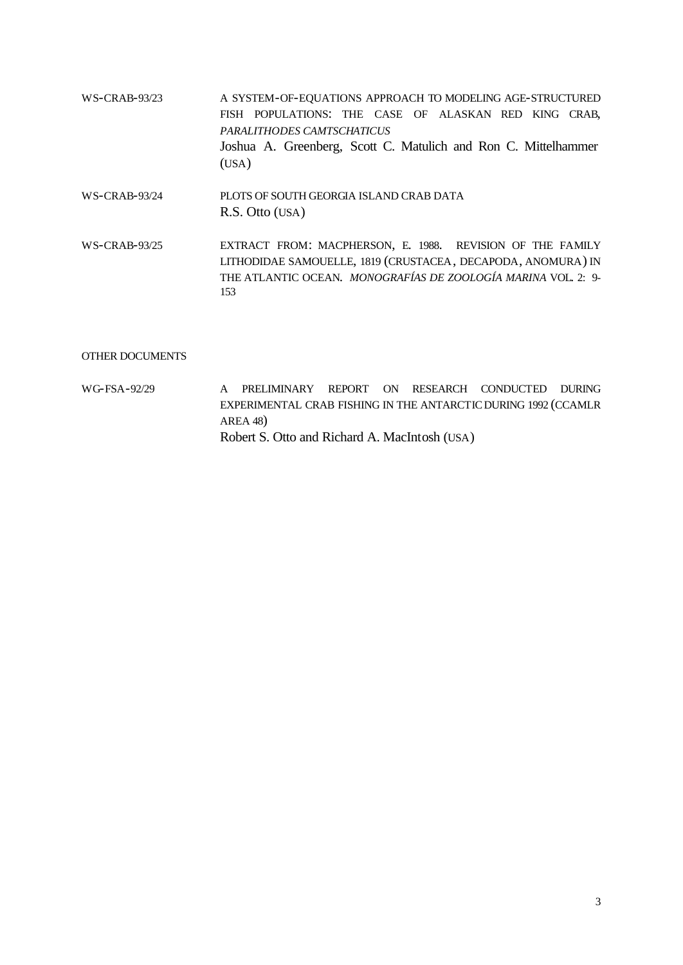| WS-CRAB-93/23   | A SYSTEM-OF-EQUATIONS APPROACH TO MODELING AGE-STRUCTURED<br>FISH POPULATIONS: THE CASE OF ALASKAN RED KING CRAB,<br>PARALITHODES CAMTSCHATICUS<br>Joshua A. Greenberg, Scott C. Matulich and Ron C. Mittelhammer<br>(USA) |
|-----------------|----------------------------------------------------------------------------------------------------------------------------------------------------------------------------------------------------------------------------|
| $WS-CRAB-93/24$ | PLOTS OF SOUTH GEORGIA ISLAND CRAB DATA<br>R.S. Otto (USA)                                                                                                                                                                 |
| $WS-CRAB-93/25$ | EXTRACT FROM: MACPHERSON, E. 1988. REVISION OF THE FAMILY<br>LITHODIDAE SAMOUELLE, 1819 (CRUSTACEA, DECAPODA, ANOMURA) IN<br>THE ATLANTIC OCEAN. MONOGRAFÍAS DE ZOOLOGÍA MARINA VOL. 2: 9-<br>153                          |

#### OTHER DOCUMENTS

WG-FSA-92/29 A PRELIMINARY REPORT ON RESEARCH CONDUCTED DURING EXPERIMENTAL CRAB FISHING IN THE ANTARCTIC DURING 1992 (CCAMLR AREA 48) Robert S. Otto and Richard A. MacIntosh (USA)